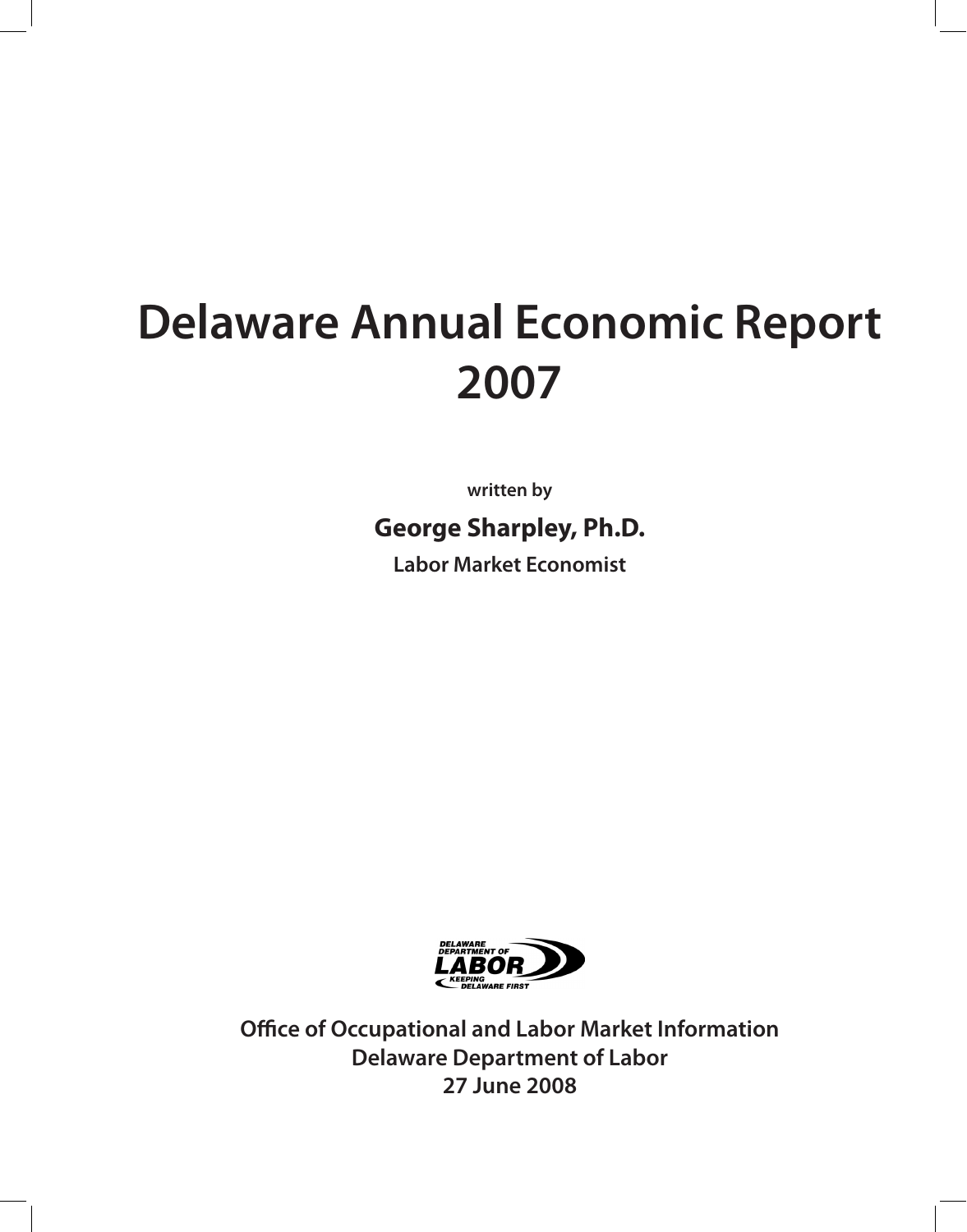# **Delaware Annual Economic Report 2007**

**written by**

**George Sharpley, Ph.D.** 

**Labor Market Economist**



**Office of Occupational and Labor Market Information Delaware Department of Labor 27 June 2008**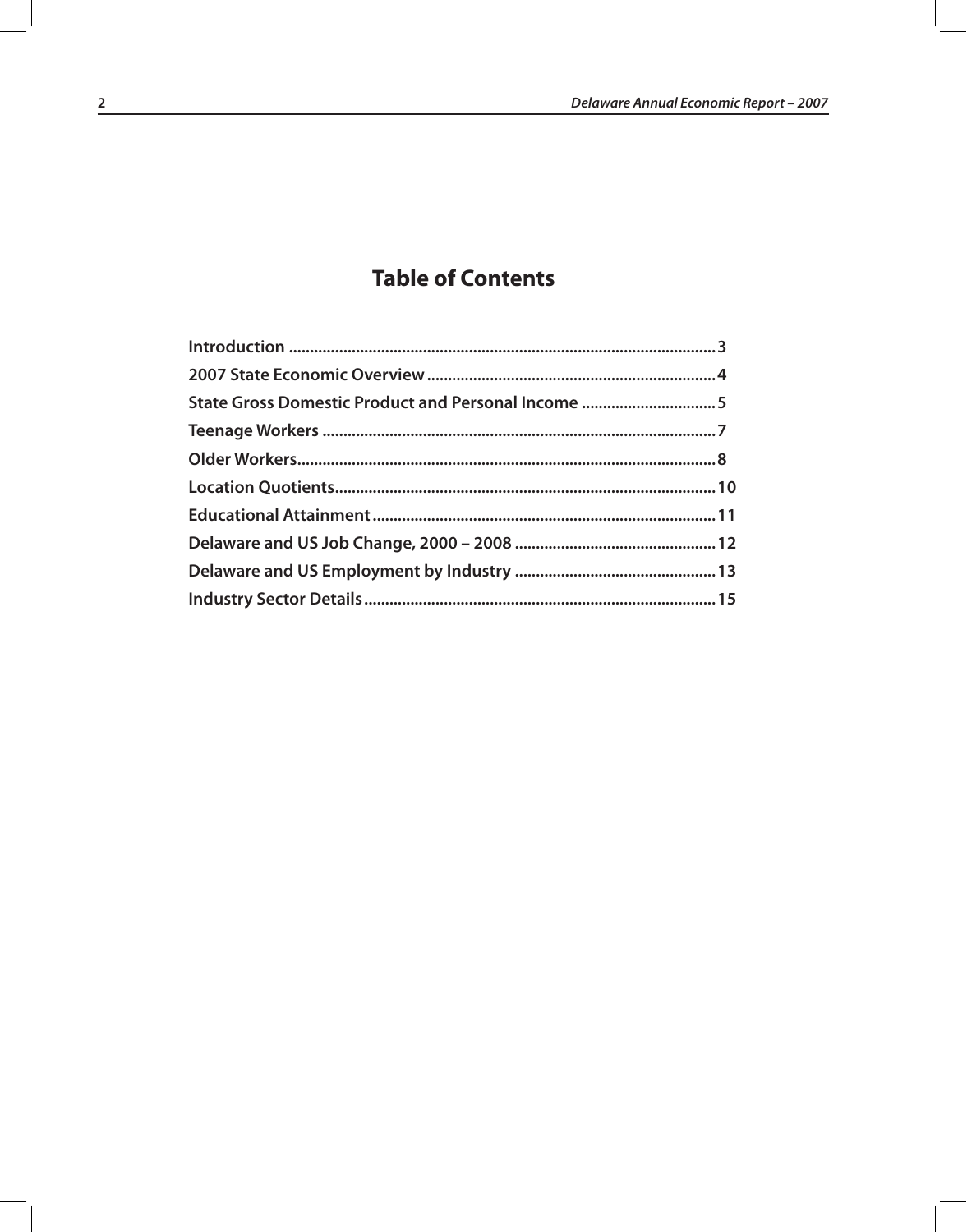## **Table of Contents**

| State Gross Domestic Product and Personal Income 5 |  |
|----------------------------------------------------|--|
|                                                    |  |
|                                                    |  |
|                                                    |  |
|                                                    |  |
|                                                    |  |
|                                                    |  |
|                                                    |  |
|                                                    |  |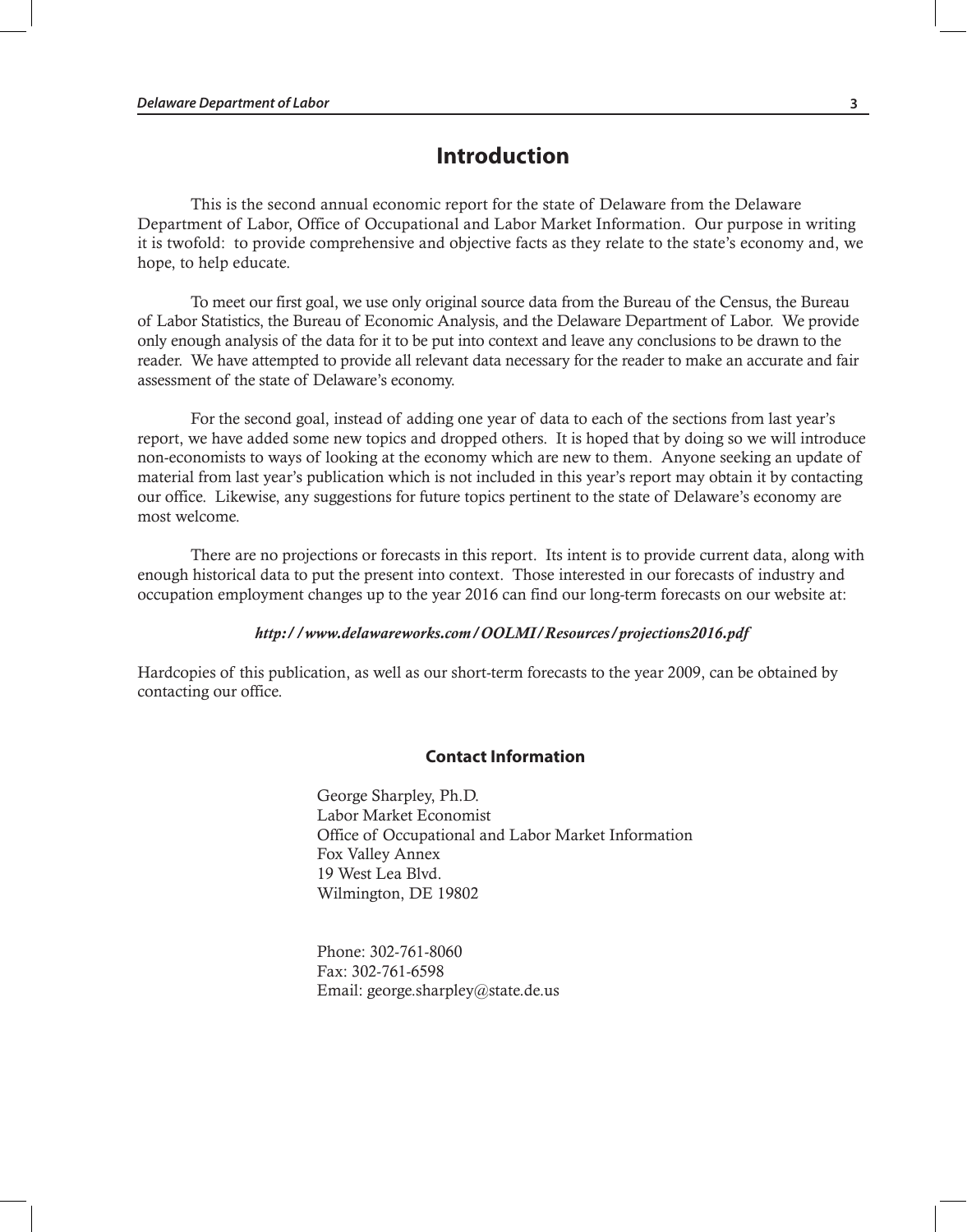## **Introduction**

This is the second annual economic report for the state of Delaware from the Delaware Department of Labor, Office of Occupational and Labor Market Information. Our purpose in writing it is twofold: to provide comprehensive and objective facts as they relate to the state's economy and, we hope, to help educate.

To meet our first goal, we use only original source data from the Bureau of the Census, the Bureau of Labor Statistics, the Bureau of Economic Analysis, and the Delaware Department of Labor. We provide only enough analysis of the data for it to be put into context and leave any conclusions to be drawn to the reader. We have attempted to provide all relevant data necessary for the reader to make an accurate and fair assessment of the state of Delaware's economy.

For the second goal, instead of adding one year of data to each of the sections from last year's report, we have added some new topics and dropped others. It is hoped that by doing so we will introduce non-economists to ways of looking at the economy which are new to them. Anyone seeking an update of material from last year's publication which is not included in this year's report may obtain it by contacting our office. Likewise, any suggestions for future topics pertinent to the state of Delaware's economy are most welcome.

There are no projections or forecasts in this report. Its intent is to provide current data, along with enough historical data to put the present into context. Those interested in our forecasts of industry and occupation employment changes up to the year 2016 can find our long-term forecasts on our website at:

#### *http://www.delawareworks.com/OOLMI/Resources/projections2016.pdf*

Hardcopies of this publication, as well as our short-term forecasts to the year 2009, can be obtained by contacting our office.

#### **Contact Information**

George Sharpley, Ph.D. Labor Market Economist Office of Occupational and Labor Market Information Fox Valley Annex 19 West Lea Blvd. Wilmington, DE 19802

Phone: 302-761-8060 Fax: 302-761-6598 Email: george.sharpley@state.de.us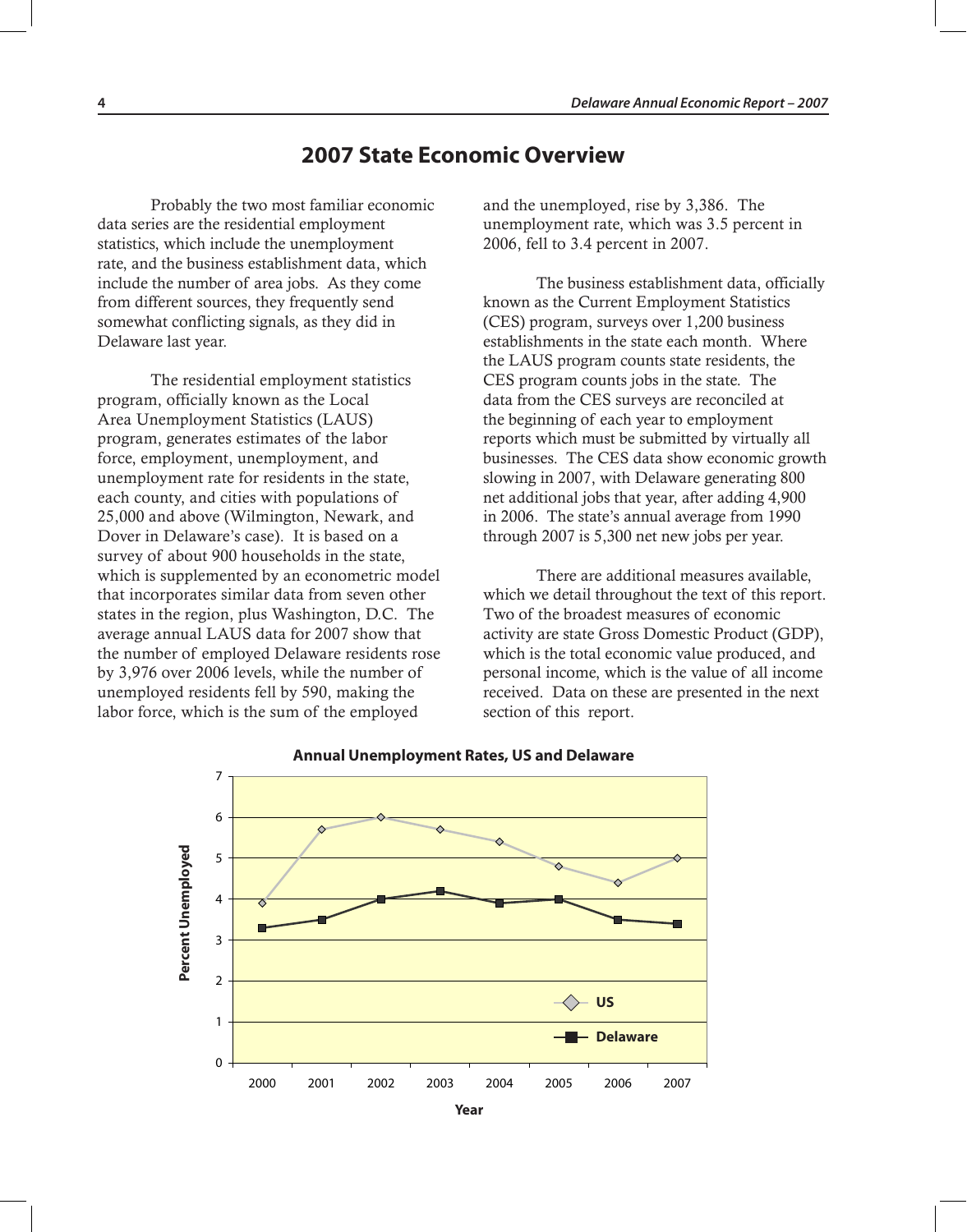## **2007 State Economic Overview**

Probably the two most familiar economic data series are the residential employment statistics, which include the unemployment rate, and the business establishment data, which include the number of area jobs. As they come from different sources, they frequently send somewhat conflicting signals, as they did in Delaware last year.

The residential employment statistics program, officially known as the Local Area Unemployment Statistics (LAUS) program, generates estimates of the labor force, employment, unemployment, and unemployment rate for residents in the state, each county, and cities with populations of 25,000 and above (Wilmington, Newark, and Dover in Delaware's case). It is based on a survey of about 900 households in the state, which is supplemented by an econometric model that incorporates similar data from seven other states in the region, plus Washington, D.C. The average annual LAUS data for 2007 show that the number of employed Delaware residents rose by 3,976 over 2006 levels, while the number of unemployed residents fell by 590, making the labor force, which is the sum of the employed

and the unemployed, rise by 3,386. The unemployment rate, which was 3.5 percent in 2006, fell to 3.4 percent in 2007.

The business establishment data, officially known as the Current Employment Statistics (CES) program, surveys over 1,200 business establishments in the state each month. Where the LAUS program counts state residents, the CES program counts jobs in the state. The data from the CES surveys are reconciled at the beginning of each year to employment reports which must be submitted by virtually all businesses. The CES data show economic growth slowing in 2007, with Delaware generating 800 net additional jobs that year, after adding 4,900 in 2006. The state's annual average from 1990 through 2007 is 5,300 net new jobs per year.

There are additional measures available, which we detail throughout the text of this report. Two of the broadest measures of economic activity are state Gross Domestic Product (GDP), which is the total economic value produced, and personal income, which is the value of all income received. Data on these are presented in the next section of this report.



#### **Annual Unemployment Rates, US and Delaware**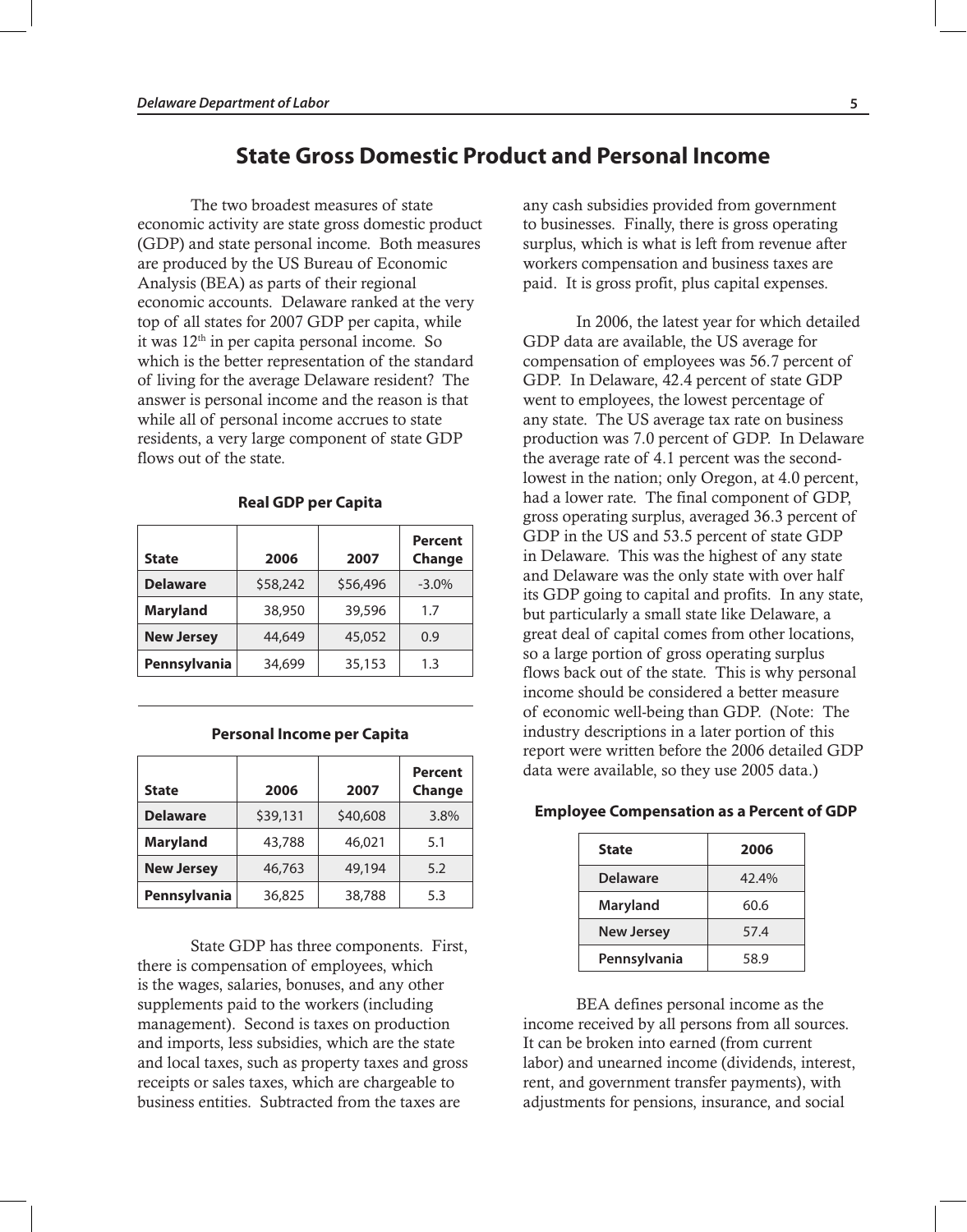## **State Gross Domestic Product and Personal Income**

The two broadest measures of state economic activity are state gross domestic product (GDP) and state personal income. Both measures are produced by the US Bureau of Economic Analysis (BEA) as parts of their regional economic accounts. Delaware ranked at the very top of all states for 2007 GDP per capita, while it was 12th in per capita personal income. So which is the better representation of the standard of living for the average Delaware resident? The answer is personal income and the reason is that while all of personal income accrues to state residents, a very large component of state GDP flows out of the state.

|                   |          |          | Percent  |
|-------------------|----------|----------|----------|
| <b>State</b>      | 2006     | 2007     | Change   |
| <b>Delaware</b>   | \$58,242 | \$56,496 | $-3.0\%$ |
| <b>Maryland</b>   | 38,950   | 39,596   | 1.7      |
| <b>New Jersey</b> | 44,649   | 45,052   | 0.9      |
| Pennsylvania      | 34,699   | 35,153   | 1.3      |

#### **Real GDP per Capita**

| <b>State</b>      | 2006     | 2007     | <b>Percent</b><br>Change |
|-------------------|----------|----------|--------------------------|
| <b>Delaware</b>   | \$39,131 | \$40,608 | 3.8%                     |
| <b>Maryland</b>   | 43,788   | 46,021   | 5.1                      |
| <b>New Jersey</b> | 46,763   | 49,194   | 5.2                      |
| Pennsylvania      | 36,825   | 38,788   | 5.3                      |

**Personal Income per Capita**

#### State GDP has three components. First, there is compensation of employees, which is the wages, salaries, bonuses, and any other supplements paid to the workers (including management). Second is taxes on production and imports, less subsidies, which are the state and local taxes, such as property taxes and gross receipts or sales taxes, which are chargeable to business entities. Subtracted from the taxes are

any cash subsidies provided from government to businesses. Finally, there is gross operating surplus, which is what is left from revenue after workers compensation and business taxes are paid. It is gross profit, plus capital expenses.

In 2006, the latest year for which detailed GDP data are available, the US average for compensation of employees was 56.7 percent of GDP. In Delaware, 42.4 percent of state GDP went to employees, the lowest percentage of any state. The US average tax rate on business production was 7.0 percent of GDP. In Delaware the average rate of 4.1 percent was the secondlowest in the nation; only Oregon, at 4.0 percent, had a lower rate. The final component of GDP, gross operating surplus, averaged 36.3 percent of GDP in the US and 53.5 percent of state GDP in Delaware. This was the highest of any state and Delaware was the only state with over half its GDP going to capital and profits. In any state, but particularly a small state like Delaware, a great deal of capital comes from other locations, so a large portion of gross operating surplus flows back out of the state. This is why personal income should be considered a better measure of economic well-being than GDP. (Note: The industry descriptions in a later portion of this report were written before the 2006 detailed GDP data were available, so they use 2005 data.)

#### **Employee Compensation as a Percent of GDP**

| <b>State</b>      | 2006  |
|-------------------|-------|
| <b>Delaware</b>   | 42.4% |
| Maryland          | 60.6  |
| <b>New Jersey</b> | 57.4  |
| Pennsylvania      | 58.9  |

BEA defines personal income as the income received by all persons from all sources. It can be broken into earned (from current labor) and unearned income (dividends, interest, rent, and government transfer payments), with adjustments for pensions, insurance, and social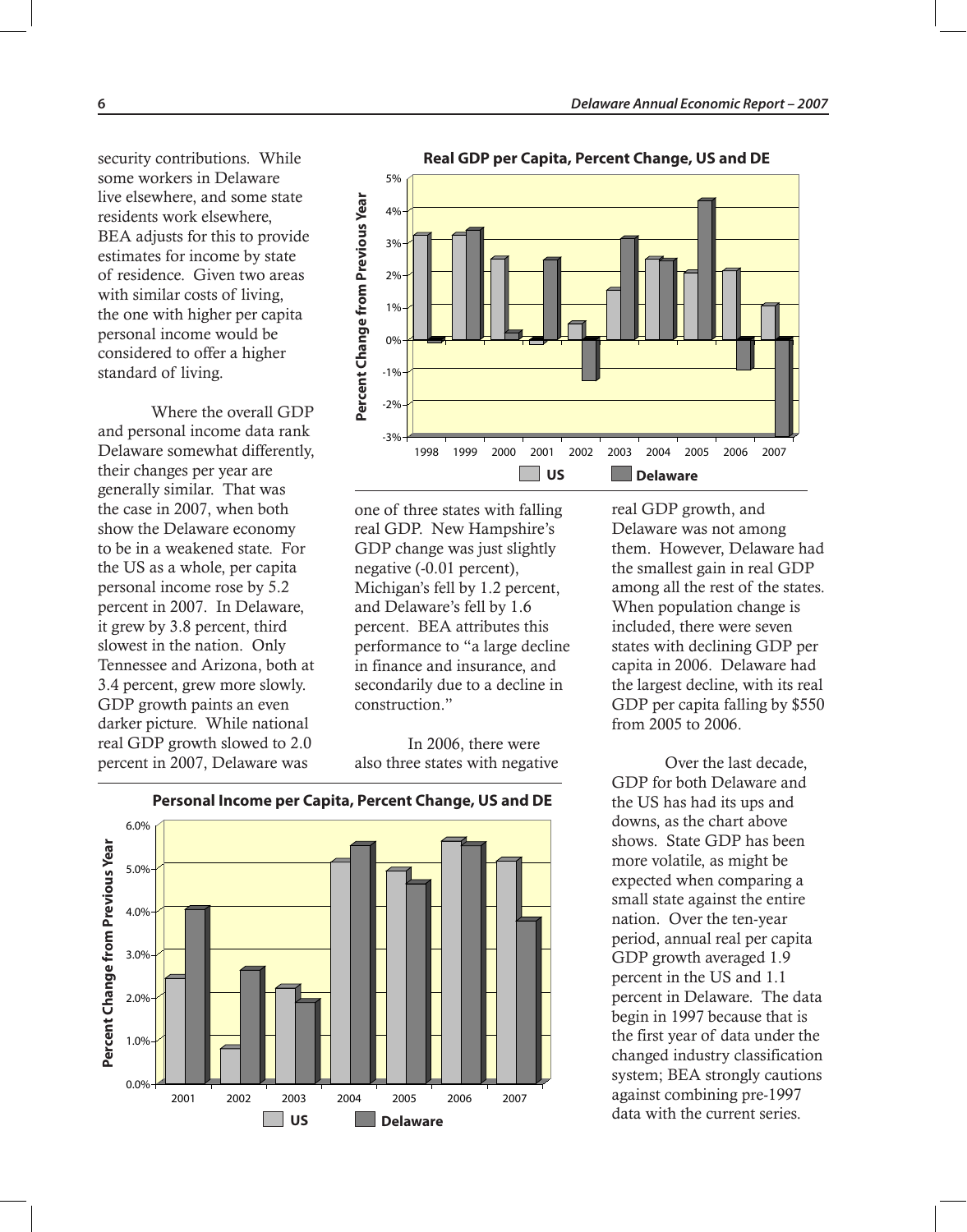security contributions. While some workers in Delaware live elsewhere, and some state residents work elsewhere, BEA adjusts for this to provide estimates for income by state of residence. Given two areas with similar costs of living, the one with higher per capita personal income would be considered to offer a higher standard of living.

Where the overall GDP and personal income data rank Delaware somewhat differently, their changes per year are generally similar. That was the case in 2007, when both show the Delaware economy to be in a weakened state. For the US as a whole, per capita personal income rose by 5.2 percent in 2007. In Delaware, it grew by 3.8 percent, third slowest in the nation. Only Tennessee and Arizona, both at 3.4 percent, grew more slowly. GDP growth paints an even darker picture. While national real GDP growth slowed to 2.0 percent in 2007, Delaware was



**Real GDP per Capita, Percent Change, US and DE**

one of three states with falling real GDP. New Hampshire's GDP change was just slightly negative (-0.01 percent), Michigan's fell by 1.2 percent, and Delaware's fell by 1.6 percent. BEA attributes this performance to "a large decline in finance and insurance, and secondarily due to a decline in construction."

In 2006, there were also three states with negative



real GDP growth, and Delaware was not among them. However, Delaware had the smallest gain in real GDP among all the rest of the states. When population change is included, there were seven states with declining GDP per capita in 2006. Delaware had the largest decline, with its real GDP per capita falling by \$550 from 2005 to 2006.

Over the last decade, GDP for both Delaware and the US has had its ups and downs, as the chart above shows. State GDP has been more volatile, as might be expected when comparing a small state against the entire nation. Over the ten-year period, annual real per capita GDP growth averaged 1.9 percent in the US and 1.1 percent in Delaware. The data begin in 1997 because that is the first year of data under the changed industry classification system; BEA strongly cautions against combining pre-1997 data with the current series.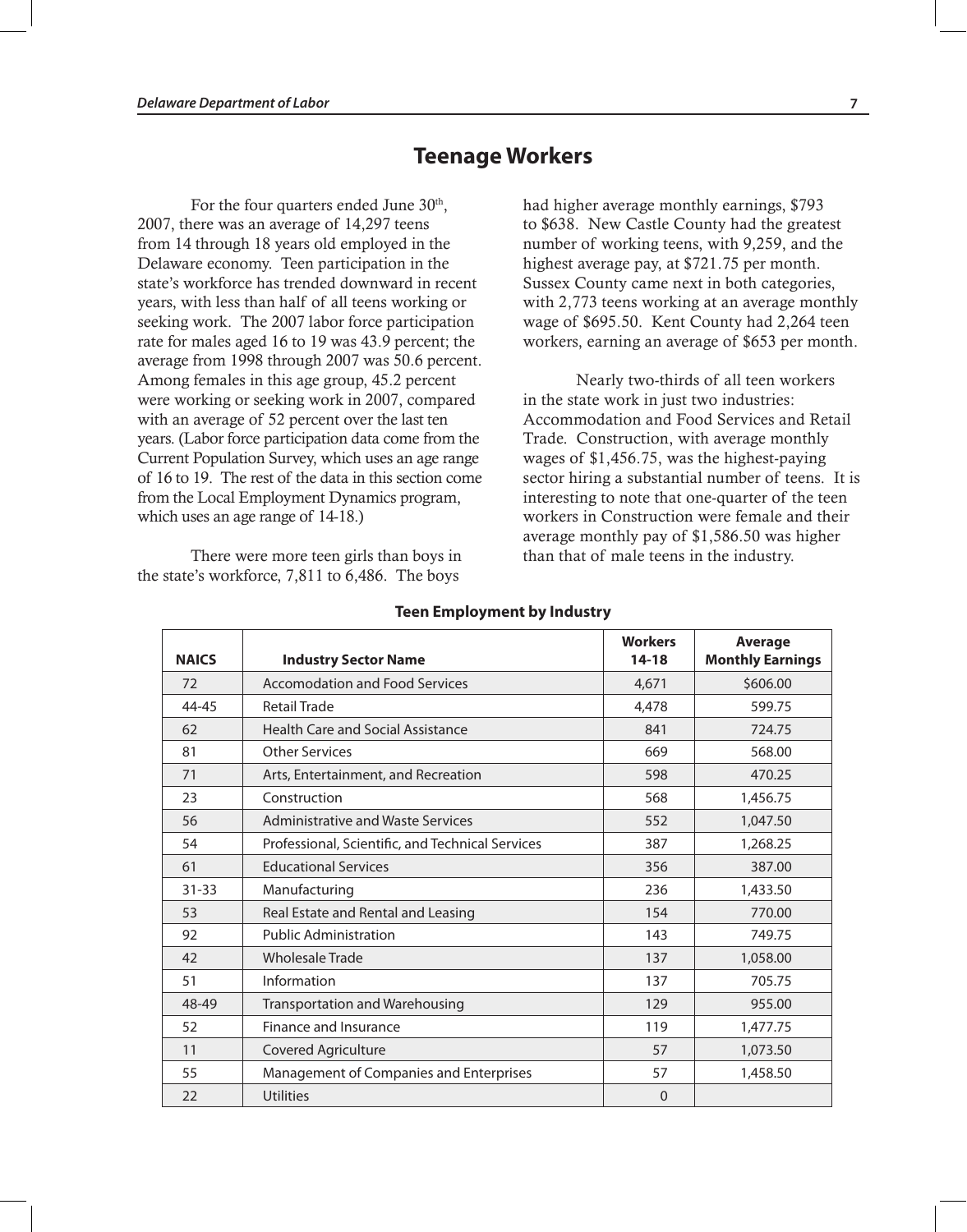## **Teenage Workers**

For the four quarters ended June 30<sup>th</sup>, 2007, there was an average of 14,297 teens from 14 through 18 years old employed in the Delaware economy. Teen participation in the state's workforce has trended downward in recent years, with less than half of all teens working or seeking work. The 2007 labor force participation rate for males aged 16 to 19 was 43.9 percent; the average from 1998 through 2007 was 50.6 percent. Among females in this age group, 45.2 percent were working or seeking work in 2007, compared with an average of 52 percent over the last ten years. (Labor force participation data come from the Current Population Survey, which uses an age range of 16 to 19. The rest of the data in this section come from the Local Employment Dynamics program, which uses an age range of 14-18.)

There were more teen girls than boys in the state's workforce, 7,811 to 6,486. The boys

had higher average monthly earnings, \$793 to \$638. New Castle County had the greatest number of working teens, with 9,259, and the highest average pay, at \$721.75 per month. Sussex County came next in both categories, with 2,773 teens working at an average monthly wage of \$695.50. Kent County had 2,264 teen workers, earning an average of \$653 per month.

Nearly two-thirds of all teen workers in the state work in just two industries: Accommodation and Food Services and Retail Trade. Construction, with average monthly wages of \$1,456.75, was the highest-paying sector hiring a substantial number of teens. It is interesting to note that one-quarter of the teen workers in Construction were female and their average monthly pay of \$1,586.50 was higher than that of male teens in the industry.

| <b>NAICS</b> | <b>Industry Sector Name</b>                      | <b>Workers</b><br>$14 - 18$ | <b>Average</b><br><b>Monthly Earnings</b> |
|--------------|--------------------------------------------------|-----------------------------|-------------------------------------------|
| 72           | <b>Accomodation and Food Services</b>            | 4,671                       | \$606.00                                  |
| $44 - 45$    | <b>Retail Trade</b>                              | 4,478                       | 599.75                                    |
| 62           | <b>Health Care and Social Assistance</b>         | 841                         | 724.75                                    |
| 81           | <b>Other Services</b>                            | 669                         | 568.00                                    |
| 71           | Arts, Entertainment, and Recreation              | 598                         | 470.25                                    |
| 23           | Construction                                     | 568                         | 1,456.75                                  |
| 56           | Administrative and Waste Services                | 552                         | 1,047.50                                  |
| 54           | Professional, Scientific, and Technical Services | 387                         | 1,268.25                                  |
| 61           | <b>Educational Services</b>                      | 356                         | 387.00                                    |
| $31 - 33$    | Manufacturing                                    | 236                         | 1,433.50                                  |
| 53           | Real Estate and Rental and Leasing               | 154                         | 770.00                                    |
| 92           | <b>Public Administration</b>                     | 143                         | 749.75                                    |
| 42           | <b>Wholesale Trade</b>                           | 137                         | 1,058.00                                  |
| 51           | Information                                      | 137                         | 705.75                                    |
| 48-49        | Transportation and Warehousing                   | 129                         | 955.00                                    |
| 52           | Finance and Insurance                            | 119                         | 1,477.75                                  |
| 11           | <b>Covered Agriculture</b>                       | 57                          | 1,073.50                                  |
| 55           | Management of Companies and Enterprises          | 57                          | 1,458.50                                  |
| 22           | <b>Utilities</b>                                 | $\Omega$                    |                                           |

#### **Teen Employment by Industry**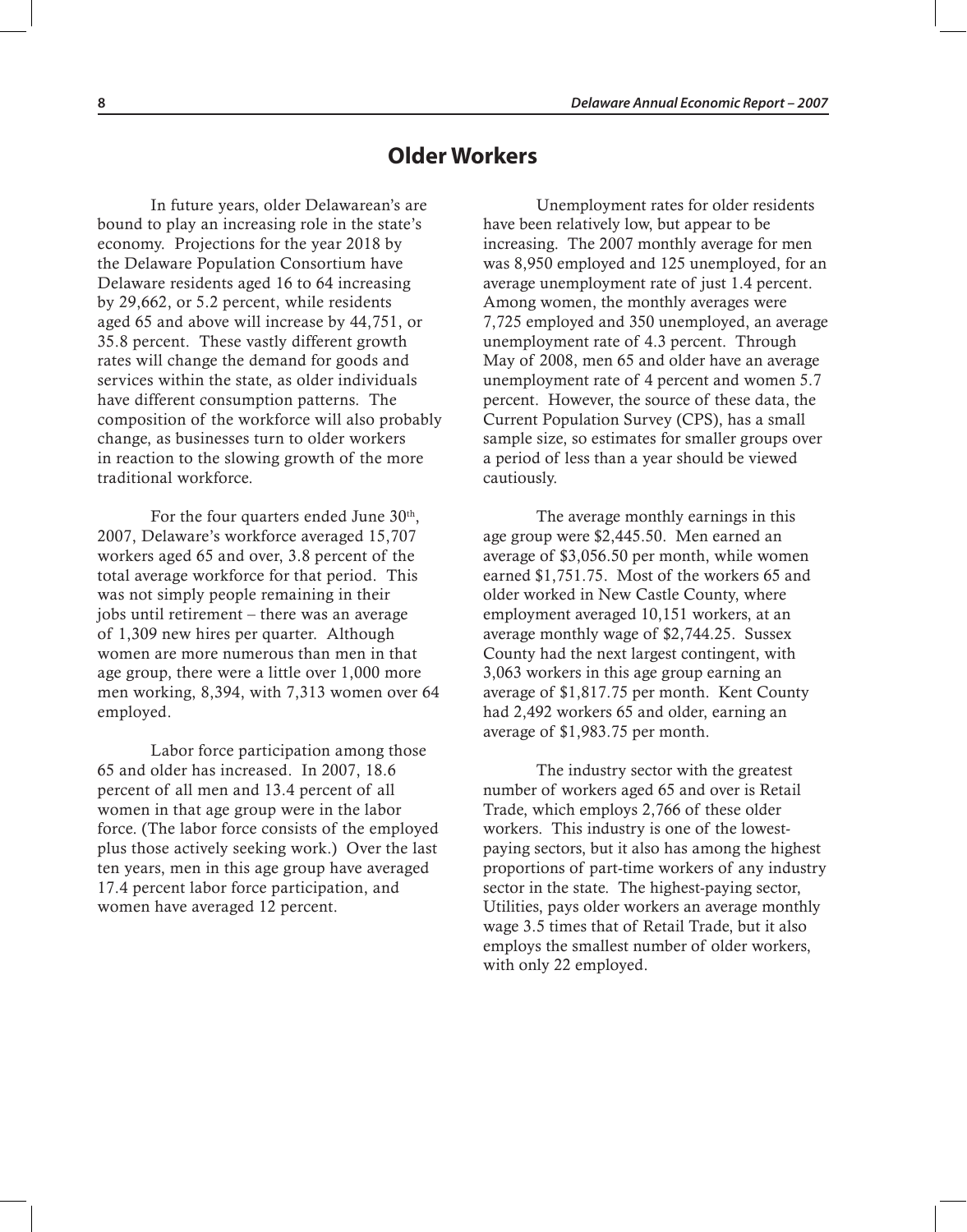## **Older Workers**

In future years, older Delawarean's are bound to play an increasing role in the state's economy. Projections for the year 2018 by the Delaware Population Consortium have Delaware residents aged 16 to 64 increasing by 29,662, or 5.2 percent, while residents aged 65 and above will increase by 44,751, or 35.8 percent. These vastly different growth rates will change the demand for goods and services within the state, as older individuals have different consumption patterns. The composition of the workforce will also probably change, as businesses turn to older workers in reaction to the slowing growth of the more traditional workforce.

For the four quarters ended June  $30<sup>th</sup>$ , 2007, Delaware's workforce averaged 15,707 workers aged 65 and over, 3.8 percent of the total average workforce for that period. This was not simply people remaining in their jobs until retirement – there was an average of 1,309 new hires per quarter. Although women are more numerous than men in that age group, there were a little over 1,000 more men working, 8,394, with 7,313 women over 64 employed.

Labor force participation among those 65 and older has increased. In 2007, 18.6 percent of all men and 13.4 percent of all women in that age group were in the labor force. (The labor force consists of the employed plus those actively seeking work.) Over the last ten years, men in this age group have averaged 17.4 percent labor force participation, and women have averaged 12 percent.

Unemployment rates for older residents have been relatively low, but appear to be increasing. The 2007 monthly average for men was 8,950 employed and 125 unemployed, for an average unemployment rate of just 1.4 percent. Among women, the monthly averages were 7,725 employed and 350 unemployed, an average unemployment rate of 4.3 percent. Through May of 2008, men 65 and older have an average unemployment rate of 4 percent and women 5.7 percent. However, the source of these data, the Current Population Survey (CPS), has a small sample size, so estimates for smaller groups over a period of less than a year should be viewed cautiously.

The average monthly earnings in this age group were \$2,445.50. Men earned an average of \$3,056.50 per month, while women earned \$1,751.75. Most of the workers 65 and older worked in New Castle County, where employment averaged 10,151 workers, at an average monthly wage of \$2,744.25. Sussex County had the next largest contingent, with 3,063 workers in this age group earning an average of \$1,817.75 per month. Kent County had 2,492 workers 65 and older, earning an average of \$1,983.75 per month.

The industry sector with the greatest number of workers aged 65 and over is Retail Trade, which employs 2,766 of these older workers. This industry is one of the lowestpaying sectors, but it also has among the highest proportions of part-time workers of any industry sector in the state. The highest-paying sector, Utilities, pays older workers an average monthly wage 3.5 times that of Retail Trade, but it also employs the smallest number of older workers, with only 22 employed.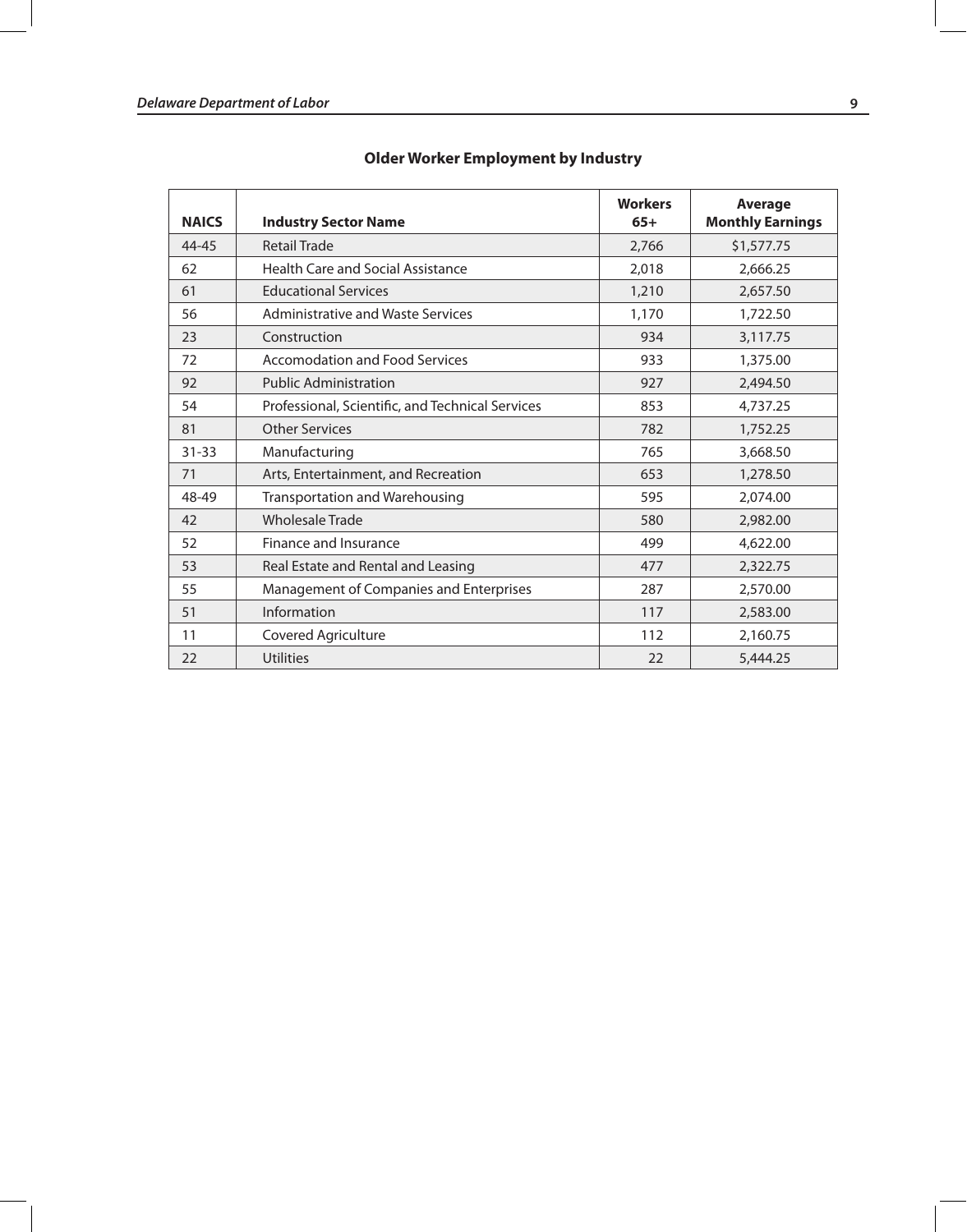| <b>NAICS</b> | <b>Industry Sector Name</b>                      | <b>Workers</b><br>$65+$ | <b>Average</b><br><b>Monthly Earnings</b> |
|--------------|--------------------------------------------------|-------------------------|-------------------------------------------|
| 44-45        | <b>Retail Trade</b>                              | 2,766                   | \$1,577.75                                |
| 62           | <b>Health Care and Social Assistance</b>         | 2,018                   | 2,666.25                                  |
| 61           | <b>Educational Services</b>                      | 1,210                   | 2,657.50                                  |
| 56           | Administrative and Waste Services                | 1,170                   | 1,722.50                                  |
| 23           | Construction                                     | 934                     | 3,117.75                                  |
| 72           | Accomodation and Food Services                   | 933                     | 1,375.00                                  |
| 92           | <b>Public Administration</b>                     | 927                     | 2,494.50                                  |
| 54           | Professional, Scientific, and Technical Services | 853                     | 4,737.25                                  |
| 81           | <b>Other Services</b>                            | 782                     | 1,752.25                                  |
| $31 - 33$    | Manufacturing                                    | 765                     | 3,668.50                                  |
| 71           | Arts, Entertainment, and Recreation              | 653                     | 1,278.50                                  |
| 48-49        | <b>Transportation and Warehousing</b>            | 595                     | 2,074.00                                  |
| 42           | <b>Wholesale Trade</b>                           | 580                     | 2,982.00                                  |
| 52           | Finance and Insurance                            | 499                     | 4,622.00                                  |
| 53           | Real Estate and Rental and Leasing               | 477                     | 2,322.75                                  |
| 55           | Management of Companies and Enterprises          | 287                     | 2,570.00                                  |
| 51           | Information                                      | 117                     | 2,583.00                                  |
| 11           | Covered Agriculture                              | 112                     | 2,160.75                                  |
| 22           | <b>Utilities</b>                                 | 22                      | 5,444.25                                  |

### **Older Worker Employment by Industry**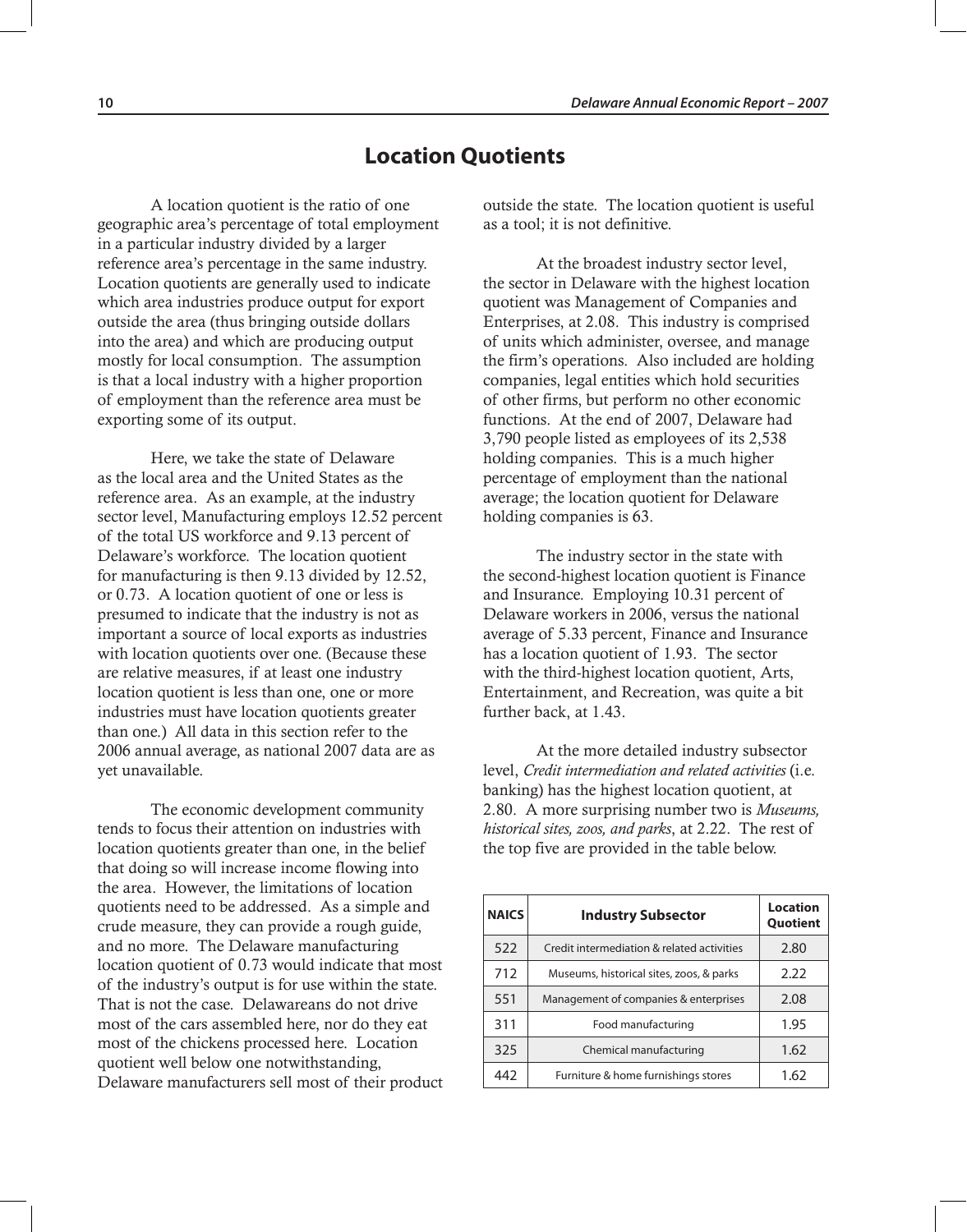## **Location Quotients**

A location quotient is the ratio of one geographic area's percentage of total employment in a particular industry divided by a larger reference area's percentage in the same industry. Location quotients are generally used to indicate which area industries produce output for export outside the area (thus bringing outside dollars into the area) and which are producing output mostly for local consumption. The assumption is that a local industry with a higher proportion of employment than the reference area must be exporting some of its output.

Here, we take the state of Delaware as the local area and the United States as the reference area. As an example, at the industry sector level, Manufacturing employs 12.52 percent of the total US workforce and 9.13 percent of Delaware's workforce. The location quotient for manufacturing is then 9.13 divided by 12.52, or 0.73. A location quotient of one or less is presumed to indicate that the industry is not as important a source of local exports as industries with location quotients over one. (Because these are relative measures, if at least one industry location quotient is less than one, one or more industries must have location quotients greater than one.) All data in this section refer to the 2006 annual average, as national 2007 data are as yet unavailable.

The economic development community tends to focus their attention on industries with location quotients greater than one, in the belief that doing so will increase income flowing into the area. However, the limitations of location quotients need to be addressed. As a simple and crude measure, they can provide a rough guide, and no more. The Delaware manufacturing location quotient of 0.73 would indicate that most of the industry's output is for use within the state. That is not the case. Delawareans do not drive most of the cars assembled here, nor do they eat most of the chickens processed here. Location quotient well below one notwithstanding, Delaware manufacturers sell most of their product

outside the state. The location quotient is useful as a tool; it is not definitive.

At the broadest industry sector level, the sector in Delaware with the highest location quotient was Management of Companies and Enterprises, at 2.08. This industry is comprised of units which administer, oversee, and manage the firm's operations. Also included are holding companies, legal entities which hold securities of other firms, but perform no other economic functions. At the end of 2007, Delaware had 3,790 people listed as employees of its 2,538 holding companies. This is a much higher percentage of employment than the national average; the location quotient for Delaware holding companies is 63.

The industry sector in the state with the second-highest location quotient is Finance and Insurance. Employing 10.31 percent of Delaware workers in 2006, versus the national average of 5.33 percent, Finance and Insurance has a location quotient of 1.93. The sector with the third-highest location quotient, Arts, Entertainment, and Recreation, was quite a bit further back, at 1.43.

At the more detailed industry subsector level, *Credit intermediation and related activities* (i.e. banking) has the highest location quotient, at 2.80. A more surprising number two is *Museums, historical sites, zoos, and parks*, at 2.22. The rest of the top five are provided in the table below.

| <b>NAICS</b> | <b>Industry Subsector</b>                  | <b>Location</b><br>Quotient |
|--------------|--------------------------------------------|-----------------------------|
| 522          | Credit intermediation & related activities | 2.80                        |
| 712          | Museums, historical sites, zoos, & parks   | 2.22                        |
| 551          | Management of companies & enterprises      | 2.08                        |
| 311          | Food manufacturing                         | 1.95                        |
| 325          | Chemical manufacturing                     | 1.62                        |
| 442          | Furniture & home furnishings stores        | 1.62                        |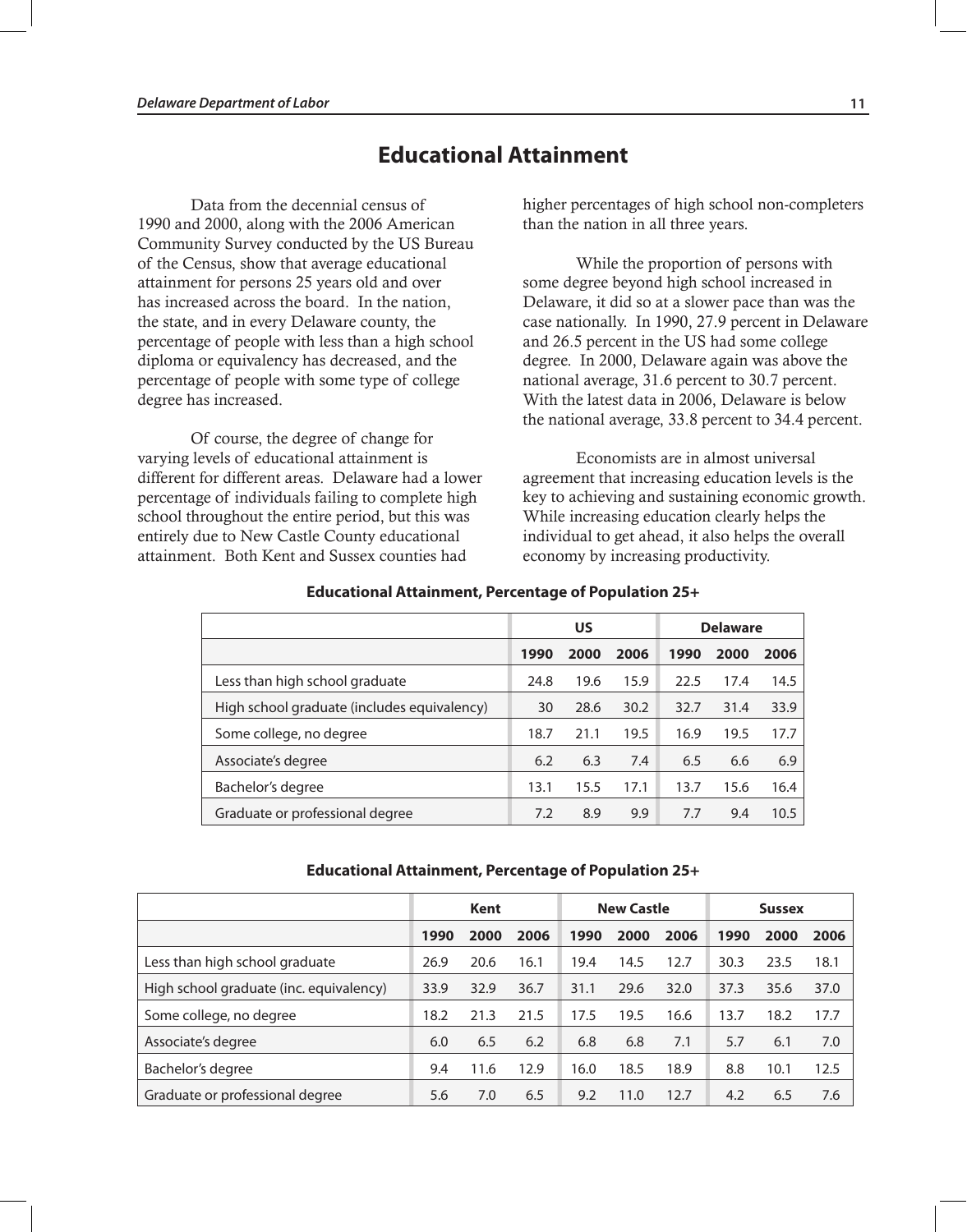## **Educational Attainment**

Data from the decennial census of 1990 and 2000, along with the 2006 American Community Survey conducted by the US Bureau of the Census, show that average educational attainment for persons 25 years old and over has increased across the board. In the nation, the state, and in every Delaware county, the percentage of people with less than a high school diploma or equivalency has decreased, and the percentage of people with some type of college degree has increased.

Of course, the degree of change for varying levels of educational attainment is different for different areas. Delaware had a lower percentage of individuals failing to complete high school throughout the entire period, but this was entirely due to New Castle County educational attainment. Both Kent and Sussex counties had

higher percentages of high school non-completers than the nation in all three years.

While the proportion of persons with some degree beyond high school increased in Delaware, it did so at a slower pace than was the case nationally. In 1990, 27.9 percent in Delaware and 26.5 percent in the US had some college degree. In 2000, Delaware again was above the national average, 31.6 percent to 30.7 percent. With the latest data in 2006, Delaware is below the national average, 33.8 percent to 34.4 percent.

Economists are in almost universal agreement that increasing education levels is the key to achieving and sustaining economic growth. While increasing education clearly helps the individual to get ahead, it also helps the overall economy by increasing productivity.

|                                             |      | US   |      | <b>Delaware</b> |      |      |  |
|---------------------------------------------|------|------|------|-----------------|------|------|--|
|                                             | 1990 | 2000 | 2006 | 1990            | 2000 | 2006 |  |
| Less than high school graduate              | 24.8 | 19.6 | 15.9 | 22.5            | 17.4 | 14.5 |  |
| High school graduate (includes equivalency) | 30   | 28.6 | 30.2 | 32.7            | 31.4 | 33.9 |  |
| Some college, no degree                     | 18.7 | 21.1 | 19.5 | 16.9            | 19.5 | 17.7 |  |
| Associate's degree                          | 6.2  | 6.3  | 7.4  | 6.5             | 6.6  | 6.9  |  |
| Bachelor's degree                           | 13.1 | 15.5 | 17.1 | 13.7            | 15.6 | 16.4 |  |
| Graduate or professional degree             | 7.2  | 8.9  | 9.9  | 7.7             | 9.4  | 10.5 |  |

#### **Educational Attainment, Percentage of Population 25+**

#### **Educational Attainment, Percentage of Population 25+**

|                                         | Kent |      |      | <b>New Castle</b> |      |      | <b>Sussex</b> |      |      |
|-----------------------------------------|------|------|------|-------------------|------|------|---------------|------|------|
|                                         | 1990 | 2000 | 2006 | 1990              | 2000 | 2006 | 1990          | 2000 | 2006 |
| Less than high school graduate          | 26.9 | 20.6 | 16.1 | 19.4              | 14.5 | 12.7 | 30.3          | 23.5 | 18.1 |
| High school graduate (inc. equivalency) | 33.9 | 32.9 | 36.7 | 31.1              | 29.6 | 32.0 | 37.3          | 35.6 | 37.0 |
| Some college, no degree                 | 18.2 | 21.3 | 21.5 | 17.5              | 19.5 | 16.6 | 13.7          | 18.2 | 17.7 |
| Associate's degree                      | 6.0  | 6.5  | 6.2  | 6.8               | 6.8  | 7.1  | 5.7           | 6.1  | 7.0  |
| Bachelor's degree                       | 9.4  | 11.6 | 12.9 | 16.0              | 18.5 | 18.9 | 8.8           | 10.1 | 12.5 |
| Graduate or professional degree         | 5.6  | 7.0  | 6.5  | 9.2               | 11.0 | 12.7 | 4.2           | 6.5  | 7.6  |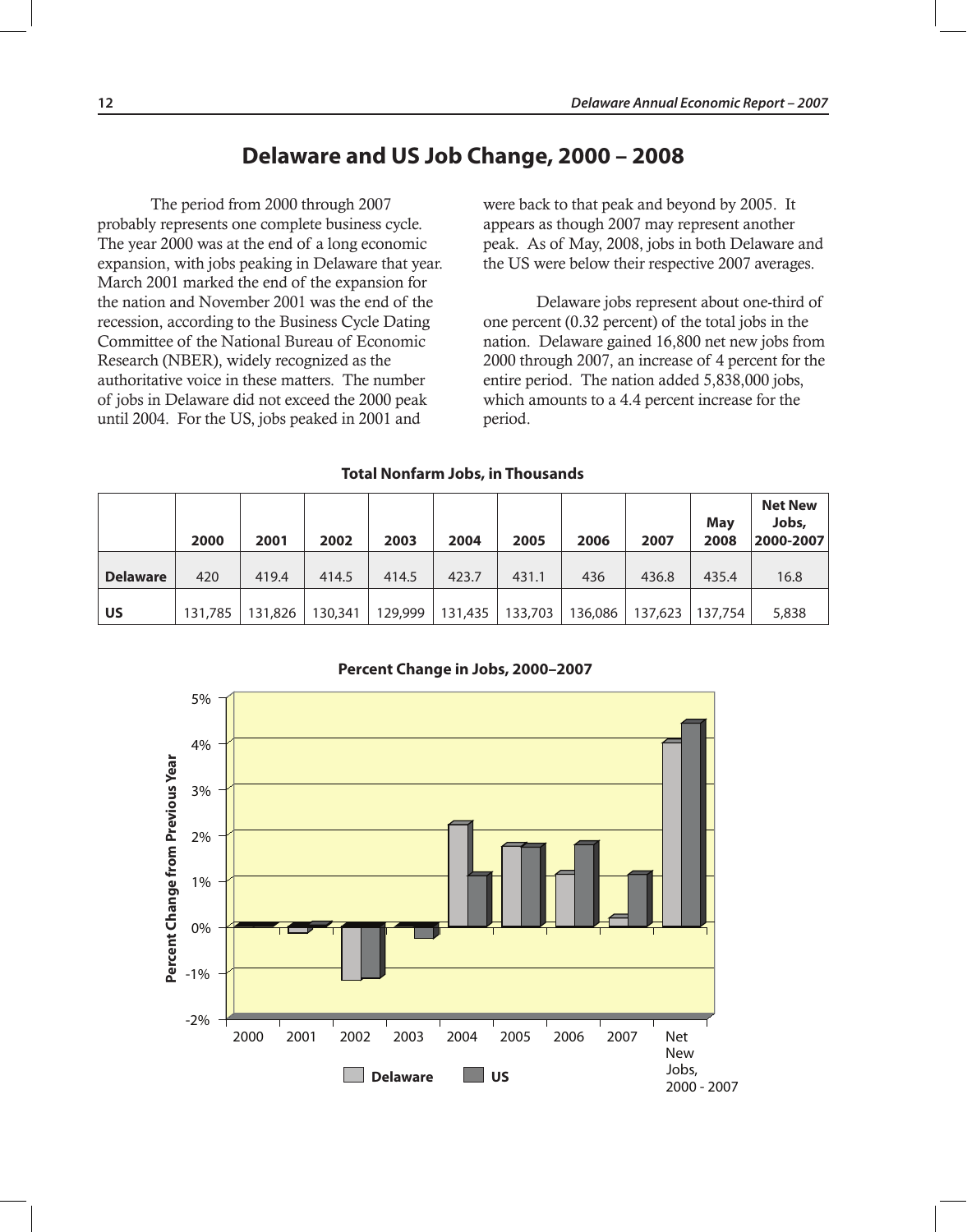## **Delaware and US Job Change, 2000 – 2008**

The period from 2000 through 2007 probably represents one complete business cycle. The year 2000 was at the end of a long economic expansion, with jobs peaking in Delaware that year. March 2001 marked the end of the expansion for the nation and November 2001 was the end of the recession, according to the Business Cycle Dating Committee of the National Bureau of Economic Research (NBER), widely recognized as the authoritative voice in these matters. The number of jobs in Delaware did not exceed the 2000 peak until 2004. For the US, jobs peaked in 2001 and

were back to that peak and beyond by 2005. It appears as though 2007 may represent another peak. As of May, 2008, jobs in both Delaware and the US were below their respective 2007 averages.

Delaware jobs represent about one-third of one percent (0.32 percent) of the total jobs in the nation. Delaware gained 16,800 net new jobs from 2000 through 2007, an increase of 4 percent for the entire period. The nation added 5,838,000 jobs, which amounts to a 4.4 percent increase for the period.

#### **Total Nonfarm Jobs, in Thousands**

|                 | 2000    | 2001    | 2002    | 2003    | 2004    | 2005    | 2006    | 2007    | Mav<br>2008 | <b>Net New</b><br>Jobs,<br>2000-2007 |
|-----------------|---------|---------|---------|---------|---------|---------|---------|---------|-------------|--------------------------------------|
| <b>Delaware</b> | 420     | 419.4   | 414.5   | 414.5   | 423.7   | 431.1   | 436     | 436.8   | 435.4       | 16.8                                 |
| US              | 131,785 | 131,826 | 130,341 | 129,999 | 131,435 | 133,703 | 136,086 | 137,623 | 137,754     | 5,838                                |

**Percent Change in Jobs, 2000–2007**

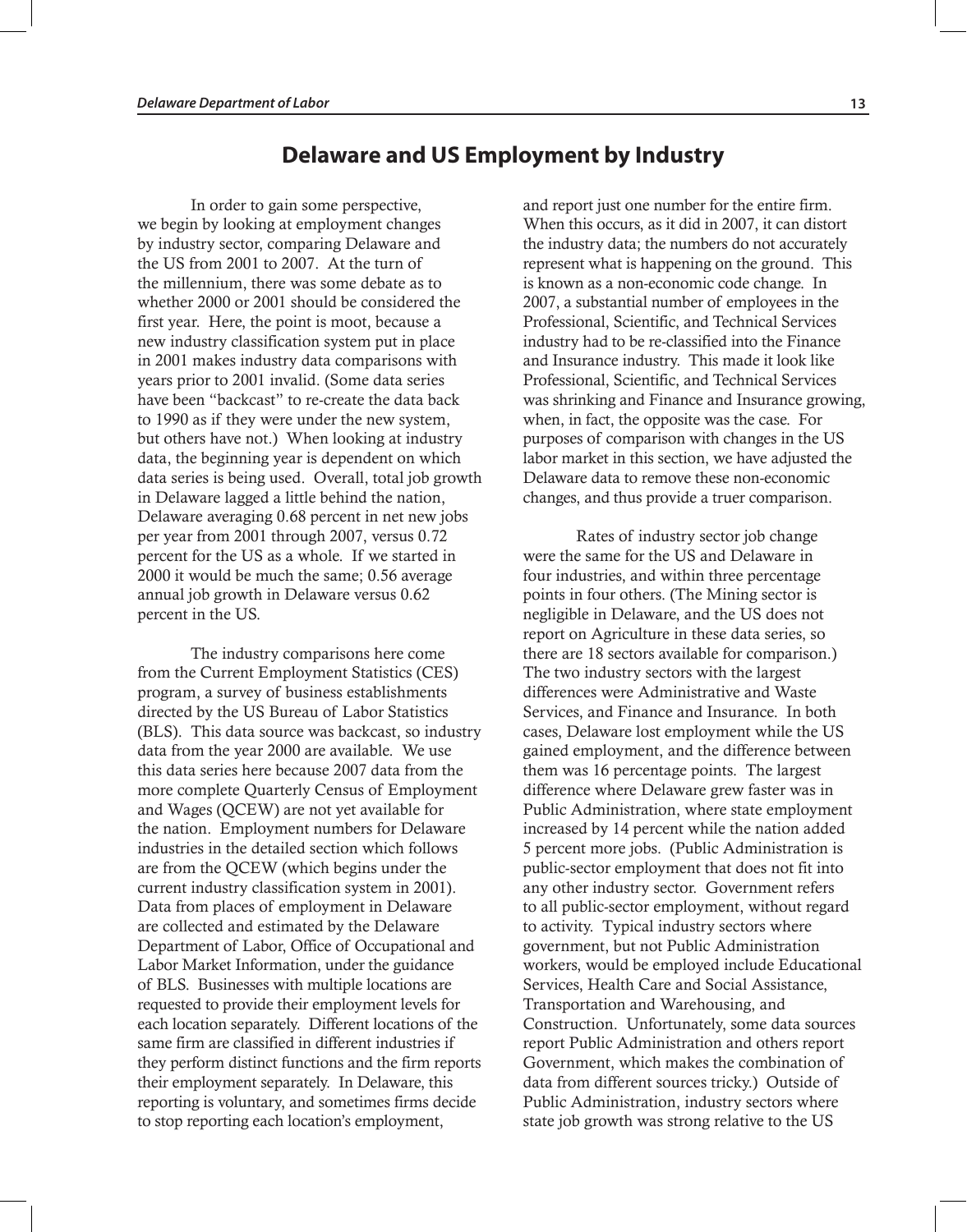**Delaware and US Employment by Industry**

In order to gain some perspective, we begin by looking at employment changes by industry sector, comparing Delaware and the US from 2001 to 2007. At the turn of the millennium, there was some debate as to whether 2000 or 2001 should be considered the first year. Here, the point is moot, because a new industry classification system put in place in 2001 makes industry data comparisons with years prior to 2001 invalid. (Some data series have been "backcast" to re-create the data back to 1990 as if they were under the new system, but others have not.) When looking at industry data, the beginning year is dependent on which data series is being used. Overall, total job growth in Delaware lagged a little behind the nation, Delaware averaging 0.68 percent in net new jobs per year from 2001 through 2007, versus 0.72 percent for the US as a whole. If we started in 2000 it would be much the same; 0.56 average annual job growth in Delaware versus 0.62 percent in the US.

The industry comparisons here come from the Current Employment Statistics (CES) program, a survey of business establishments directed by the US Bureau of Labor Statistics (BLS). This data source was backcast, so industry data from the year 2000 are available. We use this data series here because 2007 data from the more complete Quarterly Census of Employment and Wages (QCEW) are not yet available for the nation. Employment numbers for Delaware industries in the detailed section which follows are from the QCEW (which begins under the current industry classification system in 2001). Data from places of employment in Delaware are collected and estimated by the Delaware Department of Labor, Office of Occupational and Labor Market Information, under the guidance of BLS. Businesses with multiple locations are requested to provide their employment levels for each location separately. Different locations of the same firm are classified in different industries if they perform distinct functions and the firm reports their employment separately. In Delaware, this reporting is voluntary, and sometimes firms decide to stop reporting each location's employment,

and report just one number for the entire firm. When this occurs, as it did in 2007, it can distort the industry data; the numbers do not accurately represent what is happening on the ground. This is known as a non-economic code change. In 2007, a substantial number of employees in the Professional, Scientific, and Technical Services industry had to be re-classified into the Finance and Insurance industry. This made it look like Professional, Scientific, and Technical Services was shrinking and Finance and Insurance growing, when, in fact, the opposite was the case. For purposes of comparison with changes in the US labor market in this section, we have adjusted the Delaware data to remove these non-economic changes, and thus provide a truer comparison.

Rates of industry sector job change were the same for the US and Delaware in four industries, and within three percentage points in four others. (The Mining sector is negligible in Delaware, and the US does not report on Agriculture in these data series, so there are 18 sectors available for comparison.) The two industry sectors with the largest differences were Administrative and Waste Services, and Finance and Insurance. In both cases, Delaware lost employment while the US gained employment, and the difference between them was 16 percentage points. The largest difference where Delaware grew faster was in Public Administration, where state employment increased by 14 percent while the nation added 5 percent more jobs. (Public Administration is public-sector employment that does not fit into any other industry sector. Government refers to all public-sector employment, without regard to activity. Typical industry sectors where government, but not Public Administration workers, would be employed include Educational Services, Health Care and Social Assistance, Transportation and Warehousing, and Construction. Unfortunately, some data sources report Public Administration and others report Government, which makes the combination of data from different sources tricky.) Outside of Public Administration, industry sectors where state job growth was strong relative to the US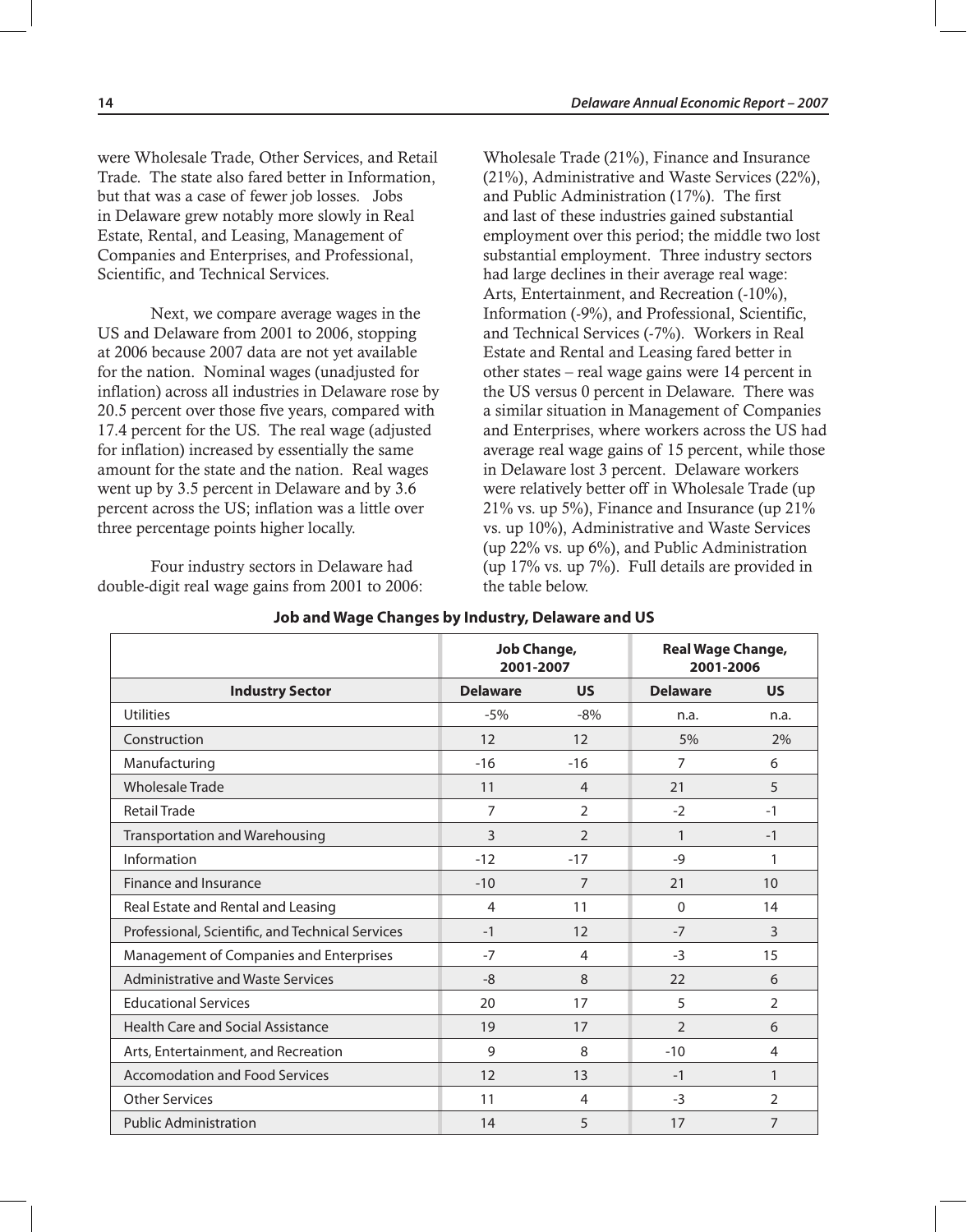were Wholesale Trade, Other Services, and Retail Trade. The state also fared better in Information, but that was a case of fewer job losses. Jobs in Delaware grew notably more slowly in Real Estate, Rental, and Leasing, Management of Companies and Enterprises, and Professional, Scientific, and Technical Services.

Next, we compare average wages in the US and Delaware from 2001 to 2006, stopping at 2006 because 2007 data are not yet available for the nation. Nominal wages (unadjusted for inflation) across all industries in Delaware rose by 20.5 percent over those five years, compared with 17.4 percent for the US. The real wage (adjusted for inflation) increased by essentially the same amount for the state and the nation. Real wages went up by 3.5 percent in Delaware and by 3.6 percent across the US; inflation was a little over three percentage points higher locally.

Four industry sectors in Delaware had double-digit real wage gains from 2001 to 2006: Wholesale Trade (21%), Finance and Insurance (21%), Administrative and Waste Services (22%), and Public Administration (17%). The first and last of these industries gained substantial employment over this period; the middle two lost substantial employment. Three industry sectors had large declines in their average real wage: Arts, Entertainment, and Recreation (-10%), Information (-9%), and Professional, Scientific, and Technical Services (-7%). Workers in Real Estate and Rental and Leasing fared better in other states – real wage gains were 14 percent in the US versus 0 percent in Delaware. There was a similar situation in Management of Companies and Enterprises, where workers across the US had average real wage gains of 15 percent, while those in Delaware lost 3 percent. Delaware workers were relatively better off in Wholesale Trade (up 21% vs. up 5%), Finance and Insurance (up 21% vs. up 10%), Administrative and Waste Services (up 22% vs. up 6%), and Public Administration (up 17% vs. up 7%). Full details are provided in the table below.

|                                                  | Job Change,<br>2001-2007 |                | <b>Real Wage Change,</b><br>2001-2006 |                |  |
|--------------------------------------------------|--------------------------|----------------|---------------------------------------|----------------|--|
| <b>Industry Sector</b>                           | <b>Delaware</b>          | <b>US</b>      | <b>Delaware</b>                       | <b>US</b>      |  |
| <b>Utilities</b>                                 | $-5%$                    | $-8%$          | n.a.                                  | n.a.           |  |
| Construction                                     | 12                       | 12             | 5%                                    | 2%             |  |
| Manufacturing                                    | $-16$                    | $-16$          | 7                                     | 6              |  |
| <b>Wholesale Trade</b>                           | 11                       | $\overline{4}$ | 21                                    | 5              |  |
| <b>Retail Trade</b>                              | 7                        | 2              | $-2$                                  | $-1$           |  |
| Transportation and Warehousing                   | 3                        | $\overline{2}$ | $\mathbf{1}$                          | $-1$           |  |
| Information                                      | $-12$                    | $-17$          | $-9$                                  | 1              |  |
| Finance and Insurance                            | $-10$                    | $\overline{7}$ | 21                                    | 10             |  |
| Real Estate and Rental and Leasing               | 4                        | 11             | $\mathbf 0$                           | 14             |  |
| Professional, Scientific, and Technical Services | $-1$                     | 12             | $-7$                                  | 3              |  |
| Management of Companies and Enterprises          | $-7$                     | $\overline{4}$ | $-3$                                  | 15             |  |
| <b>Administrative and Waste Services</b>         | $-8$                     | 8              | 22                                    | 6              |  |
| <b>Educational Services</b>                      | 20                       | 17             | 5                                     | $\overline{2}$ |  |
| <b>Health Care and Social Assistance</b>         | 19                       | 17             | 2                                     | 6              |  |
| Arts, Entertainment, and Recreation              | 9                        | 8              | $-10$                                 | $\overline{4}$ |  |
| <b>Accomodation and Food Services</b>            | 12                       | 13             | $-1$                                  | 1              |  |
| <b>Other Services</b>                            | 11                       | 4              | $-3$                                  | $\overline{2}$ |  |
| <b>Public Administration</b>                     | 14                       | 5              | 17                                    | $\overline{7}$ |  |

#### **Job and Wage Changes by Industry, Delaware and US**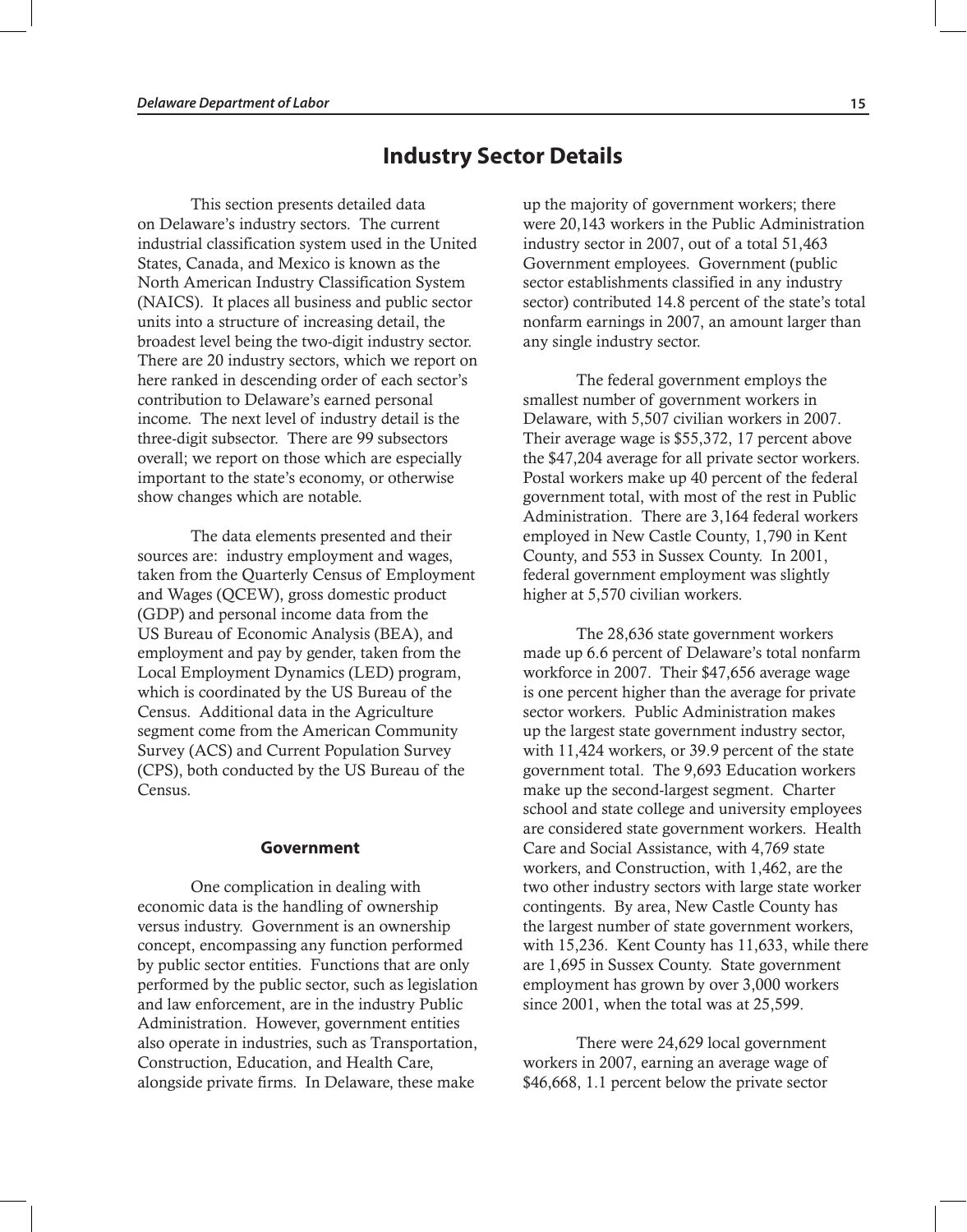## **Industry Sector Details**

This section presents detailed data on Delaware's industry sectors. The current industrial classification system used in the United States, Canada, and Mexico is known as the North American Industry Classification System (NAICS). It places all business and public sector units into a structure of increasing detail, the broadest level being the two-digit industry sector. There are 20 industry sectors, which we report on here ranked in descending order of each sector's contribution to Delaware's earned personal income. The next level of industry detail is the three-digit subsector. There are 99 subsectors overall; we report on those which are especially important to the state's economy, or otherwise show changes which are notable.

The data elements presented and their sources are: industry employment and wages, taken from the Quarterly Census of Employment and Wages (QCEW), gross domestic product (GDP) and personal income data from the US Bureau of Economic Analysis (BEA), and employment and pay by gender, taken from the Local Employment Dynamics (LED) program, which is coordinated by the US Bureau of the Census. Additional data in the Agriculture segment come from the American Community Survey (ACS) and Current Population Survey (CPS), both conducted by the US Bureau of the Census.

#### **Government**

One complication in dealing with economic data is the handling of ownership versus industry. Government is an ownership concept, encompassing any function performed by public sector entities. Functions that are only performed by the public sector, such as legislation and law enforcement, are in the industry Public Administration. However, government entities also operate in industries, such as Transportation, Construction, Education, and Health Care, alongside private firms. In Delaware, these make

up the majority of government workers; there were 20,143 workers in the Public Administration industry sector in 2007, out of a total 51,463 Government employees. Government (public sector establishments classified in any industry sector) contributed 14.8 percent of the state's total nonfarm earnings in 2007, an amount larger than any single industry sector.

The federal government employs the smallest number of government workers in Delaware, with 5,507 civilian workers in 2007. Their average wage is \$55,372, 17 percent above the \$47,204 average for all private sector workers. Postal workers make up 40 percent of the federal government total, with most of the rest in Public Administration. There are 3,164 federal workers employed in New Castle County, 1,790 in Kent County, and 553 in Sussex County. In 2001, federal government employment was slightly higher at 5,570 civilian workers.

The 28,636 state government workers made up 6.6 percent of Delaware's total nonfarm workforce in 2007. Their \$47,656 average wage is one percent higher than the average for private sector workers. Public Administration makes up the largest state government industry sector, with 11,424 workers, or 39.9 percent of the state government total. The 9,693 Education workers make up the second-largest segment. Charter school and state college and university employees are considered state government workers. Health Care and Social Assistance, with 4,769 state workers, and Construction, with 1,462, are the two other industry sectors with large state worker contingents. By area, New Castle County has the largest number of state government workers, with 15,236. Kent County has 11,633, while there are 1,695 in Sussex County. State government employment has grown by over 3,000 workers since 2001, when the total was at 25,599.

There were 24,629 local government workers in 2007, earning an average wage of \$46,668, 1.1 percent below the private sector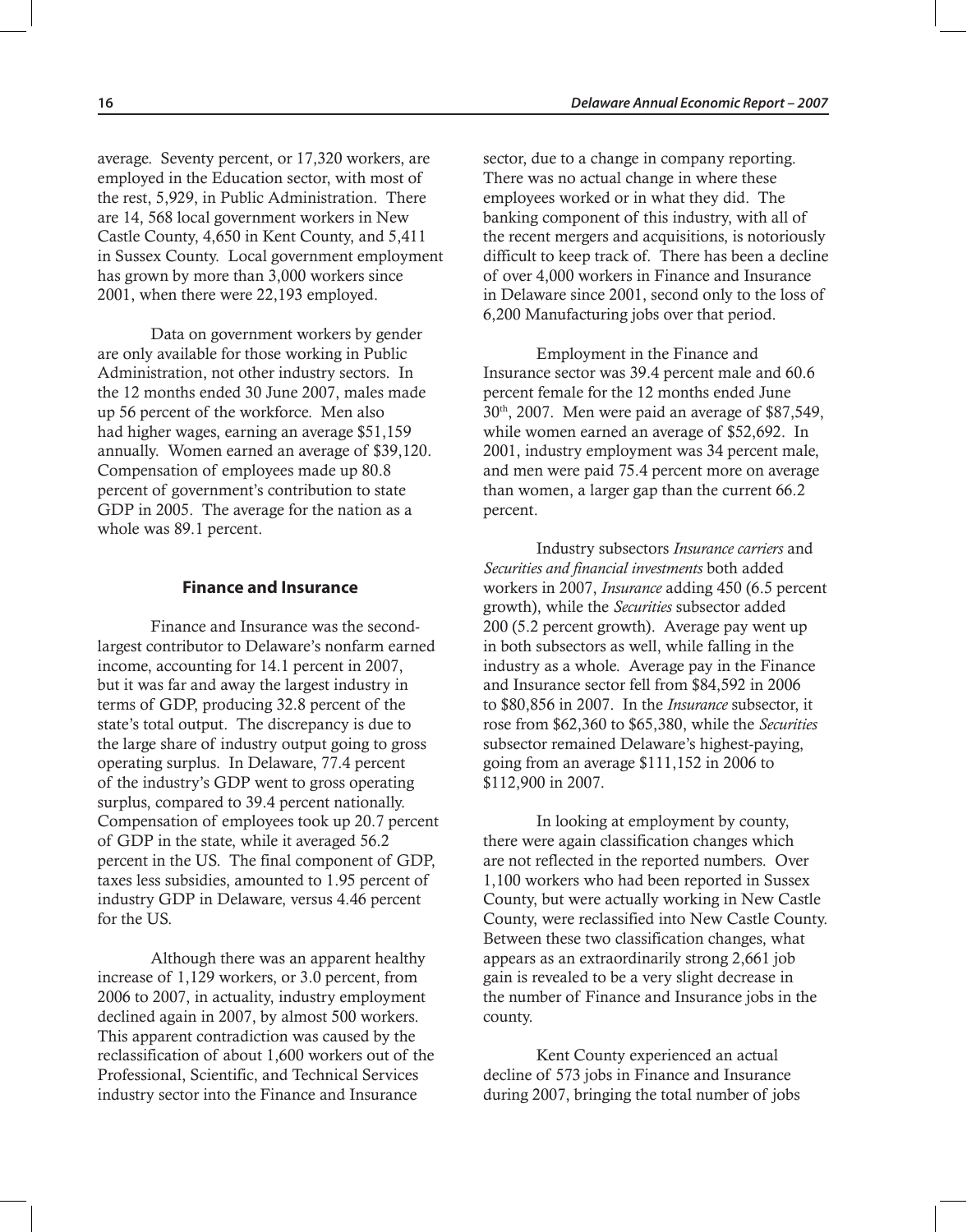average. Seventy percent, or 17,320 workers, are employed in the Education sector, with most of the rest, 5,929, in Public Administration. There are 14, 568 local government workers in New Castle County, 4,650 in Kent County, and 5,411 in Sussex County. Local government employment has grown by more than 3,000 workers since 2001, when there were 22,193 employed.

Data on government workers by gender are only available for those working in Public Administration, not other industry sectors. In the 12 months ended 30 June 2007, males made up 56 percent of the workforce. Men also had higher wages, earning an average \$51,159 annually. Women earned an average of \$39,120. Compensation of employees made up 80.8 percent of government's contribution to state GDP in 2005. The average for the nation as a whole was 89.1 percent.

#### **Finance and Insurance**

Finance and Insurance was the secondlargest contributor to Delaware's nonfarm earned income, accounting for 14.1 percent in 2007, but it was far and away the largest industry in terms of GDP, producing 32.8 percent of the state's total output. The discrepancy is due to the large share of industry output going to gross operating surplus. In Delaware, 77.4 percent of the industry's GDP went to gross operating surplus, compared to 39.4 percent nationally. Compensation of employees took up 20.7 percent of GDP in the state, while it averaged 56.2 percent in the US. The final component of GDP, taxes less subsidies, amounted to 1.95 percent of industry GDP in Delaware, versus 4.46 percent for the US.

Although there was an apparent healthy increase of 1,129 workers, or 3.0 percent, from 2006 to 2007, in actuality, industry employment declined again in 2007, by almost 500 workers. This apparent contradiction was caused by the reclassification of about 1,600 workers out of the Professional, Scientific, and Technical Services industry sector into the Finance and Insurance

sector, due to a change in company reporting. There was no actual change in where these employees worked or in what they did. The banking component of this industry, with all of the recent mergers and acquisitions, is notoriously difficult to keep track of. There has been a decline of over 4,000 workers in Finance and Insurance in Delaware since 2001, second only to the loss of 6,200 Manufacturing jobs over that period.

Employment in the Finance and Insurance sector was 39.4 percent male and 60.6 percent female for the 12 months ended June 30th, 2007. Men were paid an average of \$87,549, while women earned an average of \$52,692. In 2001, industry employment was 34 percent male, and men were paid 75.4 percent more on average than women, a larger gap than the current 66.2 percent.

Industry subsectors *Insurance carriers* and *Securities and financial investments* both added workers in 2007, *Insurance* adding 450 (6.5 percent growth), while the *Securities* subsector added 200 (5.2 percent growth). Average pay went up in both subsectors as well, while falling in the industry as a whole. Average pay in the Finance and Insurance sector fell from \$84,592 in 2006 to \$80,856 in 2007. In the *Insurance* subsector, it rose from \$62,360 to \$65,380, while the *Securities* subsector remained Delaware's highest-paying, going from an average \$111,152 in 2006 to \$112,900 in 2007.

In looking at employment by county, there were again classification changes which are not reflected in the reported numbers. Over 1,100 workers who had been reported in Sussex County, but were actually working in New Castle County, were reclassified into New Castle County. Between these two classification changes, what appears as an extraordinarily strong 2,661 job gain is revealed to be a very slight decrease in the number of Finance and Insurance jobs in the county.

Kent County experienced an actual decline of 573 jobs in Finance and Insurance during 2007, bringing the total number of jobs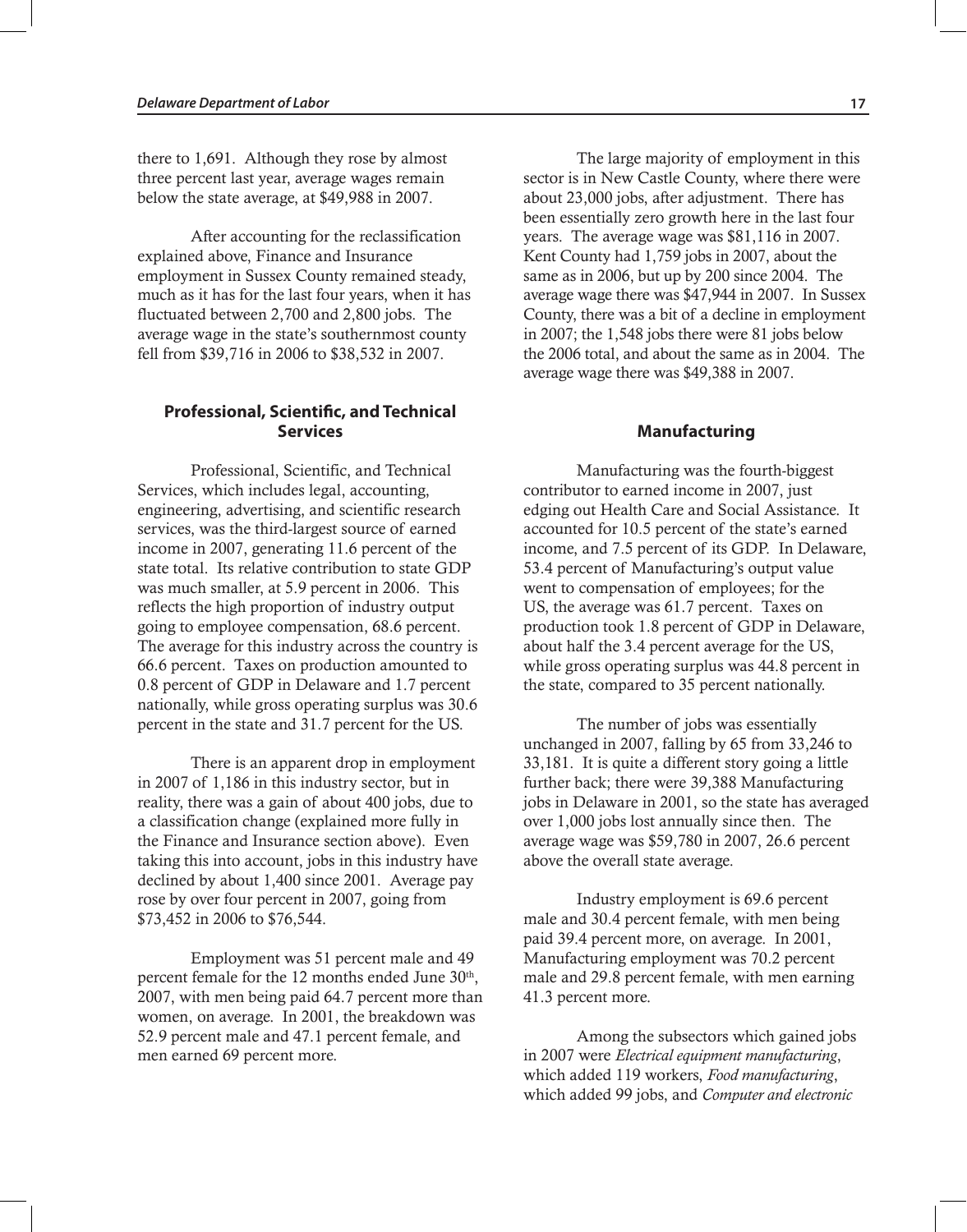there to 1,691. Although they rose by almost three percent last year, average wages remain below the state average, at \$49,988 in 2007.

After accounting for the reclassification explained above, Finance and Insurance employment in Sussex County remained steady, much as it has for the last four years, when it has fluctuated between 2,700 and 2,800 jobs. The average wage in the state's southernmost county fell from \$39,716 in 2006 to \$38,532 in 2007.

#### **Professional, Scientific, and Technical Services**

Professional, Scientific, and Technical Services, which includes legal, accounting, engineering, advertising, and scientific research services, was the third-largest source of earned income in 2007, generating 11.6 percent of the state total. Its relative contribution to state GDP was much smaller, at 5.9 percent in 2006. This reflects the high proportion of industry output going to employee compensation, 68.6 percent. The average for this industry across the country is 66.6 percent. Taxes on production amounted to 0.8 percent of GDP in Delaware and 1.7 percent nationally, while gross operating surplus was 30.6 percent in the state and 31.7 percent for the US.

There is an apparent drop in employment in 2007 of 1,186 in this industry sector, but in reality, there was a gain of about 400 jobs, due to a classification change (explained more fully in the Finance and Insurance section above). Even taking this into account, jobs in this industry have declined by about 1,400 since 2001. Average pay rose by over four percent in 2007, going from \$73,452 in 2006 to \$76,544.

Employment was 51 percent male and 49 percent female for the 12 months ended June 30<sup>th</sup>, 2007, with men being paid 64.7 percent more than women, on average. In 2001, the breakdown was 52.9 percent male and 47.1 percent female, and men earned 69 percent more.

The large majority of employment in this sector is in New Castle County, where there were about 23,000 jobs, after adjustment. There has been essentially zero growth here in the last four years. The average wage was \$81,116 in 2007. Kent County had 1,759 jobs in 2007, about the same as in 2006, but up by 200 since 2004. The average wage there was \$47,944 in 2007. In Sussex County, there was a bit of a decline in employment in 2007; the 1,548 jobs there were 81 jobs below the 2006 total, and about the same as in 2004. The average wage there was \$49,388 in 2007.

#### **Manufacturing**

Manufacturing was the fourth-biggest contributor to earned income in 2007, just edging out Health Care and Social Assistance. It accounted for 10.5 percent of the state's earned income, and 7.5 percent of its GDP. In Delaware, 53.4 percent of Manufacturing's output value went to compensation of employees; for the US, the average was 61.7 percent. Taxes on production took 1.8 percent of GDP in Delaware, about half the 3.4 percent average for the US, while gross operating surplus was 44.8 percent in the state, compared to 35 percent nationally.

The number of jobs was essentially unchanged in 2007, falling by 65 from 33,246 to 33,181. It is quite a different story going a little further back; there were 39,388 Manufacturing jobs in Delaware in 2001, so the state has averaged over 1,000 jobs lost annually since then. The average wage was \$59,780 in 2007, 26.6 percent above the overall state average.

Industry employment is 69.6 percent male and 30.4 percent female, with men being paid 39.4 percent more, on average. In 2001, Manufacturing employment was 70.2 percent male and 29.8 percent female, with men earning 41.3 percent more.

Among the subsectors which gained jobs in 2007 were *Electrical equipment manufacturing*, which added 119 workers, *Food manufacturing*, which added 99 jobs, and *Computer and electronic*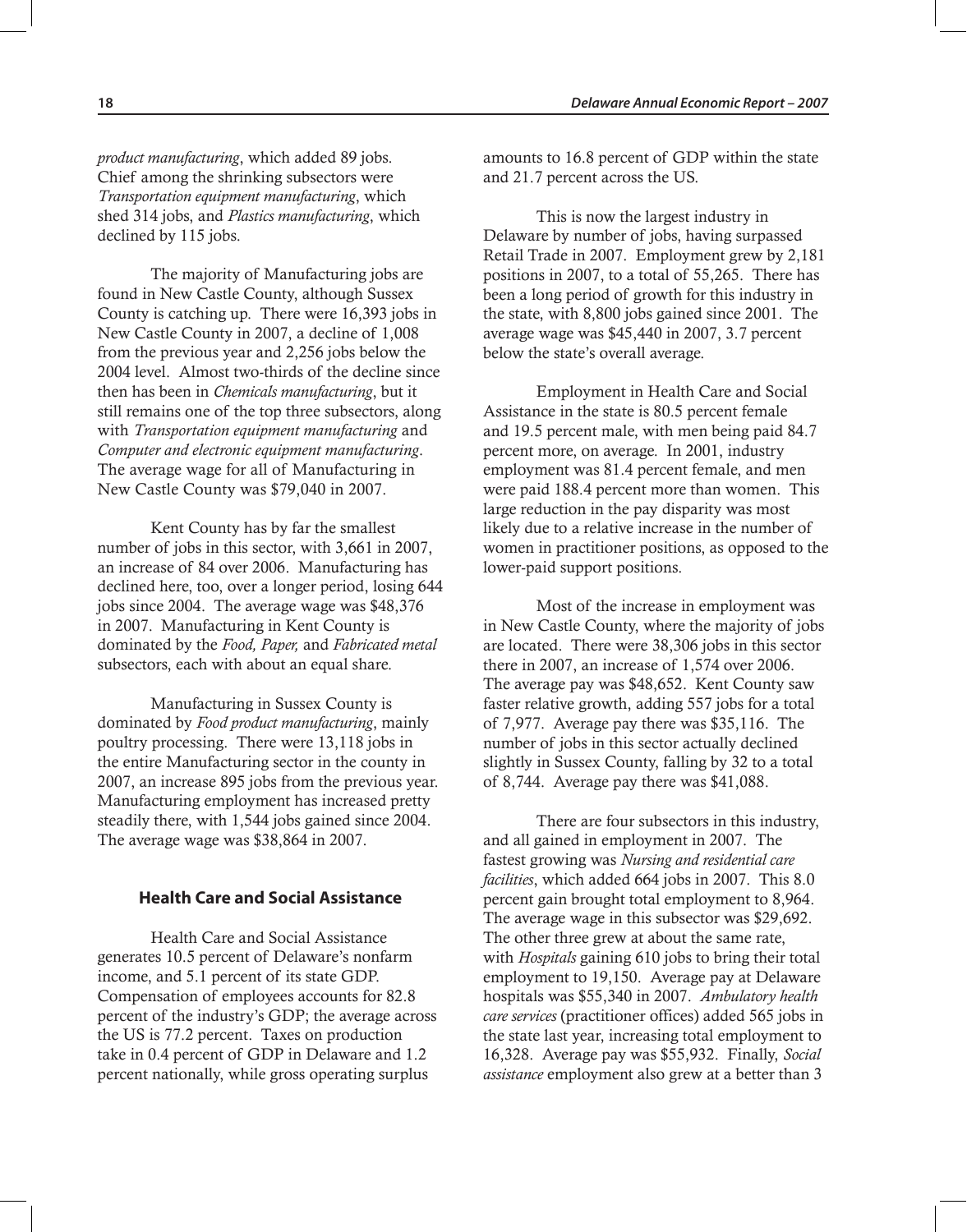*product manufacturing*, which added 89 jobs. Chief among the shrinking subsectors were *Transportation equipment manufacturing*, which shed 314 jobs, and *Plastics manufacturing*, which declined by 115 jobs.

The majority of Manufacturing jobs are found in New Castle County, although Sussex County is catching up. There were 16,393 jobs in New Castle County in 2007, a decline of 1,008 from the previous year and 2,256 jobs below the 2004 level. Almost two-thirds of the decline since then has been in *Chemicals manufacturing*, but it still remains one of the top three subsectors, along with *Transportation equipment manufacturing* and *Computer and electronic equipment manufacturing*. The average wage for all of Manufacturing in New Castle County was \$79,040 in 2007.

Kent County has by far the smallest number of jobs in this sector, with 3,661 in 2007, an increase of 84 over 2006. Manufacturing has declined here, too, over a longer period, losing 644 jobs since 2004. The average wage was \$48,376 in 2007. Manufacturing in Kent County is dominated by the *Food, Paper,* and *Fabricated metal* subsectors, each with about an equal share.

Manufacturing in Sussex County is dominated by *Food product manufacturing*, mainly poultry processing. There were 13,118 jobs in the entire Manufacturing sector in the county in 2007, an increase 895 jobs from the previous year. Manufacturing employment has increased pretty steadily there, with 1,544 jobs gained since 2004. The average wage was \$38,864 in 2007.

#### **Health Care and Social Assistance**

Health Care and Social Assistance generates 10.5 percent of Delaware's nonfarm income, and 5.1 percent of its state GDP. Compensation of employees accounts for 82.8 percent of the industry's GDP; the average across the US is 77.2 percent. Taxes on production take in 0.4 percent of GDP in Delaware and 1.2 percent nationally, while gross operating surplus

amounts to 16.8 percent of GDP within the state and 21.7 percent across the US.

This is now the largest industry in Delaware by number of jobs, having surpassed Retail Trade in 2007. Employment grew by 2,181 positions in 2007, to a total of 55,265. There has been a long period of growth for this industry in the state, with 8,800 jobs gained since 2001. The average wage was \$45,440 in 2007, 3.7 percent below the state's overall average.

Employment in Health Care and Social Assistance in the state is 80.5 percent female and 19.5 percent male, with men being paid 84.7 percent more, on average. In 2001, industry employment was 81.4 percent female, and men were paid 188.4 percent more than women. This large reduction in the pay disparity was most likely due to a relative increase in the number of women in practitioner positions, as opposed to the lower-paid support positions.

Most of the increase in employment was in New Castle County, where the majority of jobs are located. There were 38,306 jobs in this sector there in 2007, an increase of 1,574 over 2006. The average pay was \$48,652. Kent County saw faster relative growth, adding 557 jobs for a total of 7,977. Average pay there was \$35,116. The number of jobs in this sector actually declined slightly in Sussex County, falling by 32 to a total of 8,744. Average pay there was \$41,088.

There are four subsectors in this industry, and all gained in employment in 2007. The fastest growing was *Nursing and residential care facilities*, which added 664 jobs in 2007. This 8.0 percent gain brought total employment to 8,964. The average wage in this subsector was \$29,692. The other three grew at about the same rate, with *Hospitals* gaining 610 jobs to bring their total employment to 19,150. Average pay at Delaware hospitals was \$55,340 in 2007. *Ambulatory health care services* (practitioner offices) added 565 jobs in the state last year, increasing total employment to 16,328. Average pay was \$55,932. Finally, *Social assistance* employment also grew at a better than 3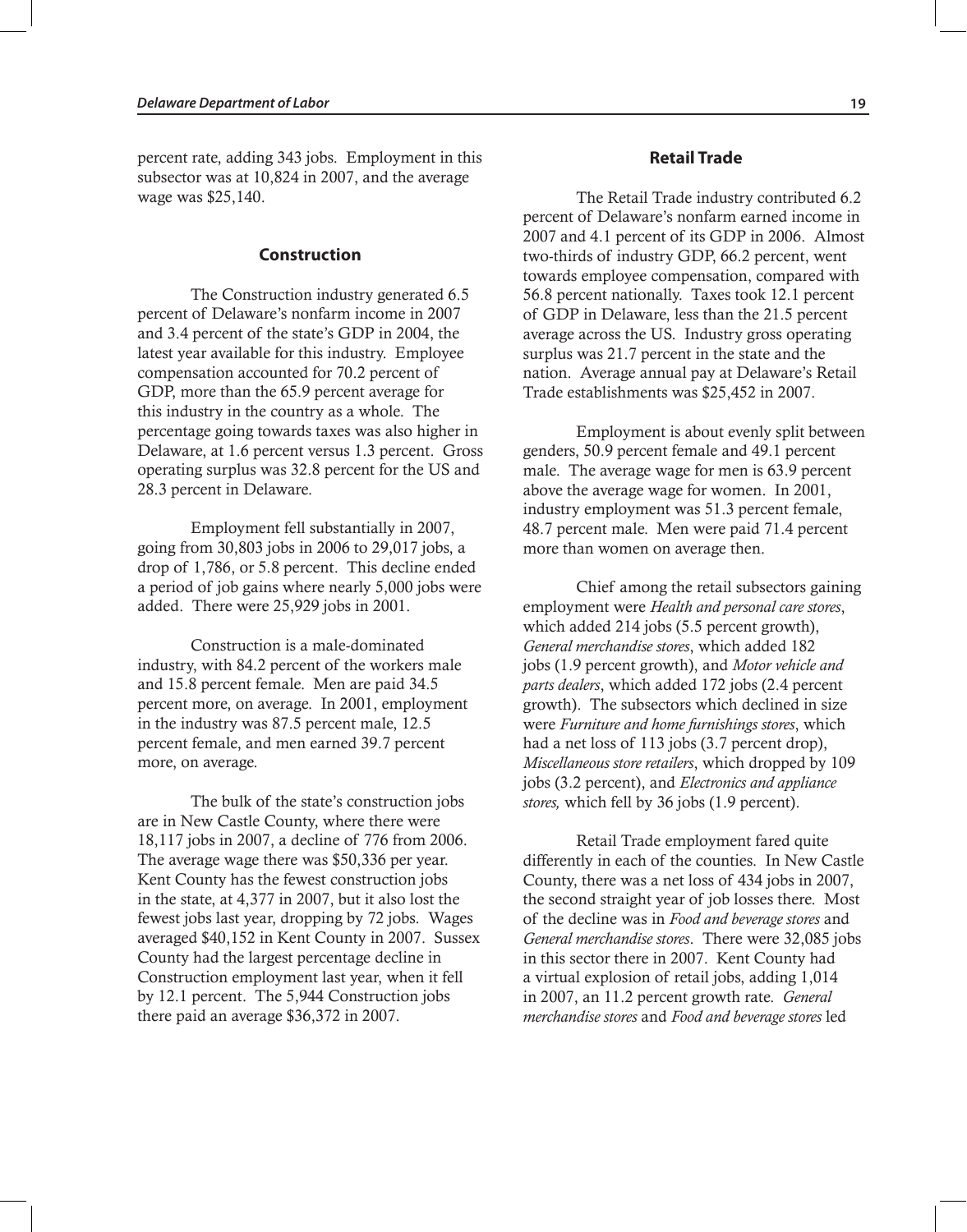percent rate, adding 343 jobs. Employment in this subsector was at 10,824 in 2007, and the average wage was \$25,140.

#### **Construction**

The Construction industry generated 6.5 percent of Delaware's nonfarm income in 2007 and 3.4 percent of the state's GDP in 2004, the latest year available for this industry. Employee compensation accounted for 70.2 percent of GDP, more than the 65.9 percent average for this industry in the country as a whole. The percentage going towards taxes was also higher in Delaware, at 1.6 percent versus 1.3 percent. Gross operating surplus was 32.8 percent for the US and 28.3 percent in Delaware.

Employment fell substantially in 2007, going from 30,803 jobs in 2006 to 29,017 jobs, a drop of 1,786, or 5.8 percent. This decline ended a period of job gains where nearly 5,000 jobs were added. There were 25,929 jobs in 2001.

Construction is a male-dominated industry, with 84.2 percent of the workers male and 15.8 percent female. Men are paid 34.5 percent more, on average. In 2001, employment in the industry was 87.5 percent male, 12.5 percent female, and men earned 39.7 percent more, on average.

The bulk of the state's construction jobs are in New Castle County, where there were 18,117 jobs in 2007, a decline of 776 from 2006. The average wage there was \$50,336 per year. Kent County has the fewest construction jobs in the state, at 4,377 in 2007, but it also lost the fewest jobs last year, dropping by 72 jobs. Wages averaged \$40,152 in Kent County in 2007. Sussex County had the largest percentage decline in Construction employment last year, when it fell by 12.1 percent. The 5,944 Construction jobs there paid an average \$36,372 in 2007.

#### **Retail Trade**

The Retail Trade industry contributed 6.2 percent of Delaware's nonfarm earned income in 2007 and 4.1 percent of its GDP in 2006. Almost two-thirds of industry GDP, 66.2 percent, went towards employee compensation, compared with 56.8 percent nationally. Taxes took 12.1 percent of GDP in Delaware, less than the 21.5 percent average across the US. Industry gross operating surplus was 21.7 percent in the state and the nation. Average annual pay at Delaware's Retail Trade establishments was \$25,452 in 2007.

Employment is about evenly split between genders, 50.9 percent female and 49.1 percent male. The average wage for men is 63.9 percent above the average wage for women. In 2001, industry employment was 51.3 percent female, 48.7 percent male. Men were paid 71.4 percent more than women on average then.

Chief among the retail subsectors gaining employment were *Health and personal care stores*, which added 214 jobs (5.5 percent growth), *General merchandise stores*, which added 182 jobs (1.9 percent growth), and *Motor vehicle and parts dealers*, which added 172 jobs (2.4 percent growth). The subsectors which declined in size were *Furniture and home furnishings stores*, which had a net loss of 113 jobs (3.7 percent drop), *Miscellaneous store retailers*, which dropped by 109 jobs (3.2 percent), and *Electronics and appliance stores,* which fell by 36 jobs (1.9 percent).

Retail Trade employment fared quite differently in each of the counties. In New Castle County, there was a net loss of 434 jobs in 2007, the second straight year of job losses there. Most of the decline was in *Food and beverage stores* and *General merchandise stores*. There were 32,085 jobs in this sector there in 2007. Kent County had a virtual explosion of retail jobs, adding 1,014 in 2007, an 11.2 percent growth rate. *General merchandise stores* and *Food and beverage stores* led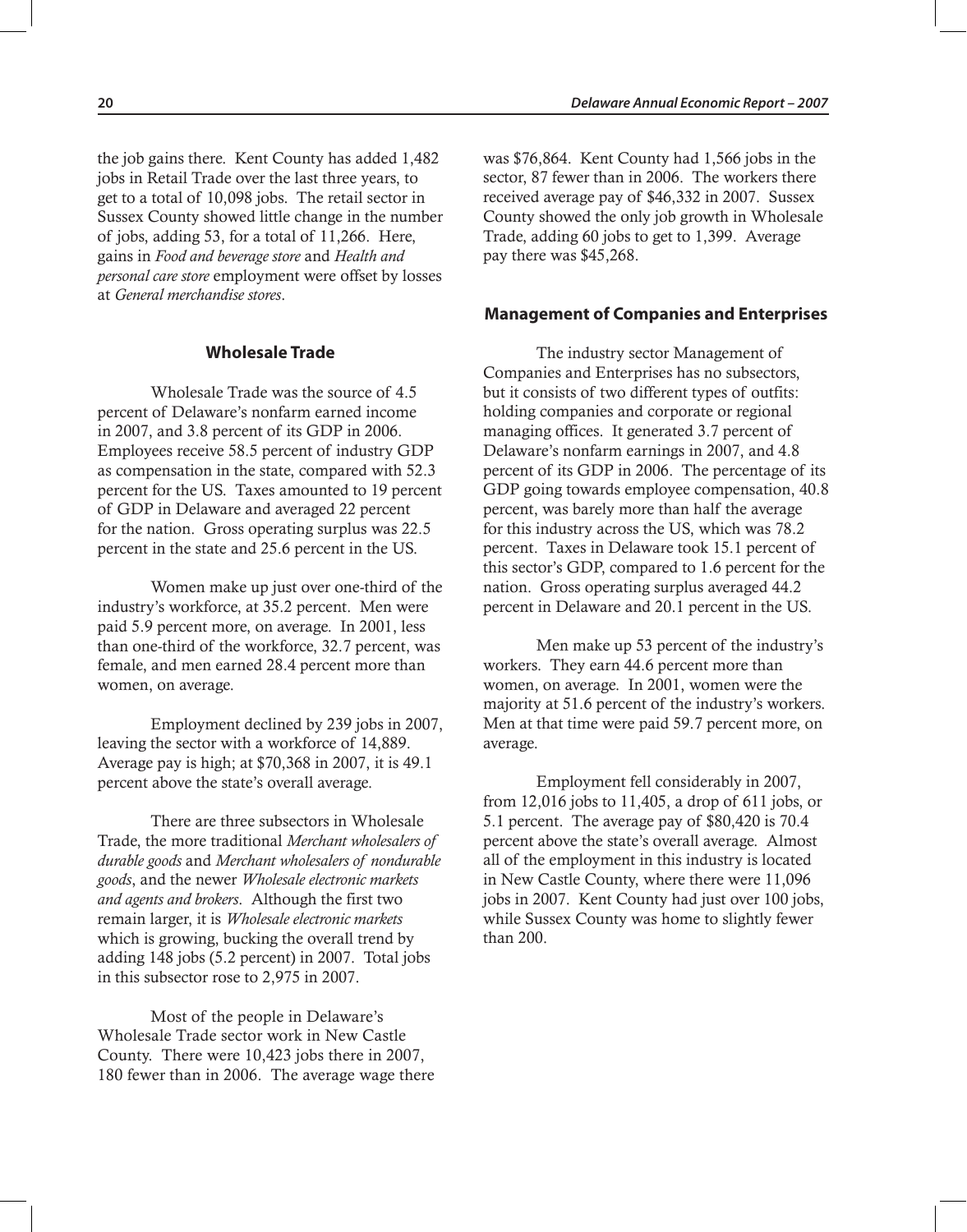the job gains there. Kent County has added 1,482 jobs in Retail Trade over the last three years, to get to a total of 10,098 jobs. The retail sector in Sussex County showed little change in the number of jobs, adding 53, for a total of 11,266. Here, gains in *Food and beverage store* and *Health and personal care store* employment were offset by losses at *General merchandise stores*.

#### **Wholesale Trade**

Wholesale Trade was the source of 4.5 percent of Delaware's nonfarm earned income in 2007, and 3.8 percent of its GDP in 2006. Employees receive 58.5 percent of industry GDP as compensation in the state, compared with 52.3 percent for the US. Taxes amounted to 19 percent of GDP in Delaware and averaged 22 percent for the nation. Gross operating surplus was 22.5 percent in the state and 25.6 percent in the US.

Women make up just over one-third of the industry's workforce, at 35.2 percent. Men were paid 5.9 percent more, on average. In 2001, less than one-third of the workforce, 32.7 percent, was female, and men earned 28.4 percent more than women, on average.

Employment declined by 239 jobs in 2007, leaving the sector with a workforce of 14,889. Average pay is high; at \$70,368 in 2007, it is 49.1 percent above the state's overall average.

There are three subsectors in Wholesale Trade, the more traditional *Merchant wholesalers of durable goods* and *Merchant wholesalers of nondurable goods*, and the newer *Wholesale electronic markets and agents and brokers*. Although the first two remain larger, it is *Wholesale electronic markets* which is growing, bucking the overall trend by adding 148 jobs (5.2 percent) in 2007. Total jobs in this subsector rose to 2,975 in 2007.

Most of the people in Delaware's Wholesale Trade sector work in New Castle County. There were 10,423 jobs there in 2007, 180 fewer than in 2006. The average wage there was \$76,864. Kent County had 1,566 jobs in the sector, 87 fewer than in 2006. The workers there received average pay of \$46,332 in 2007. Sussex County showed the only job growth in Wholesale Trade, adding 60 jobs to get to 1,399. Average pay there was \$45,268.

#### **Management of Companies and Enterprises**

The industry sector Management of Companies and Enterprises has no subsectors, but it consists of two different types of outfits: holding companies and corporate or regional managing offices. It generated 3.7 percent of Delaware's nonfarm earnings in 2007, and 4.8 percent of its GDP in 2006. The percentage of its GDP going towards employee compensation, 40.8 percent, was barely more than half the average for this industry across the US, which was 78.2 percent. Taxes in Delaware took 15.1 percent of this sector's GDP, compared to 1.6 percent for the nation. Gross operating surplus averaged 44.2 percent in Delaware and 20.1 percent in the US.

Men make up 53 percent of the industry's workers. They earn 44.6 percent more than women, on average. In 2001, women were the majority at 51.6 percent of the industry's workers. Men at that time were paid 59.7 percent more, on average.

Employment fell considerably in 2007, from 12,016 jobs to 11,405, a drop of 611 jobs, or 5.1 percent. The average pay of \$80,420 is 70.4 percent above the state's overall average. Almost all of the employment in this industry is located in New Castle County, where there were 11,096 jobs in 2007. Kent County had just over 100 jobs, while Sussex County was home to slightly fewer than 200.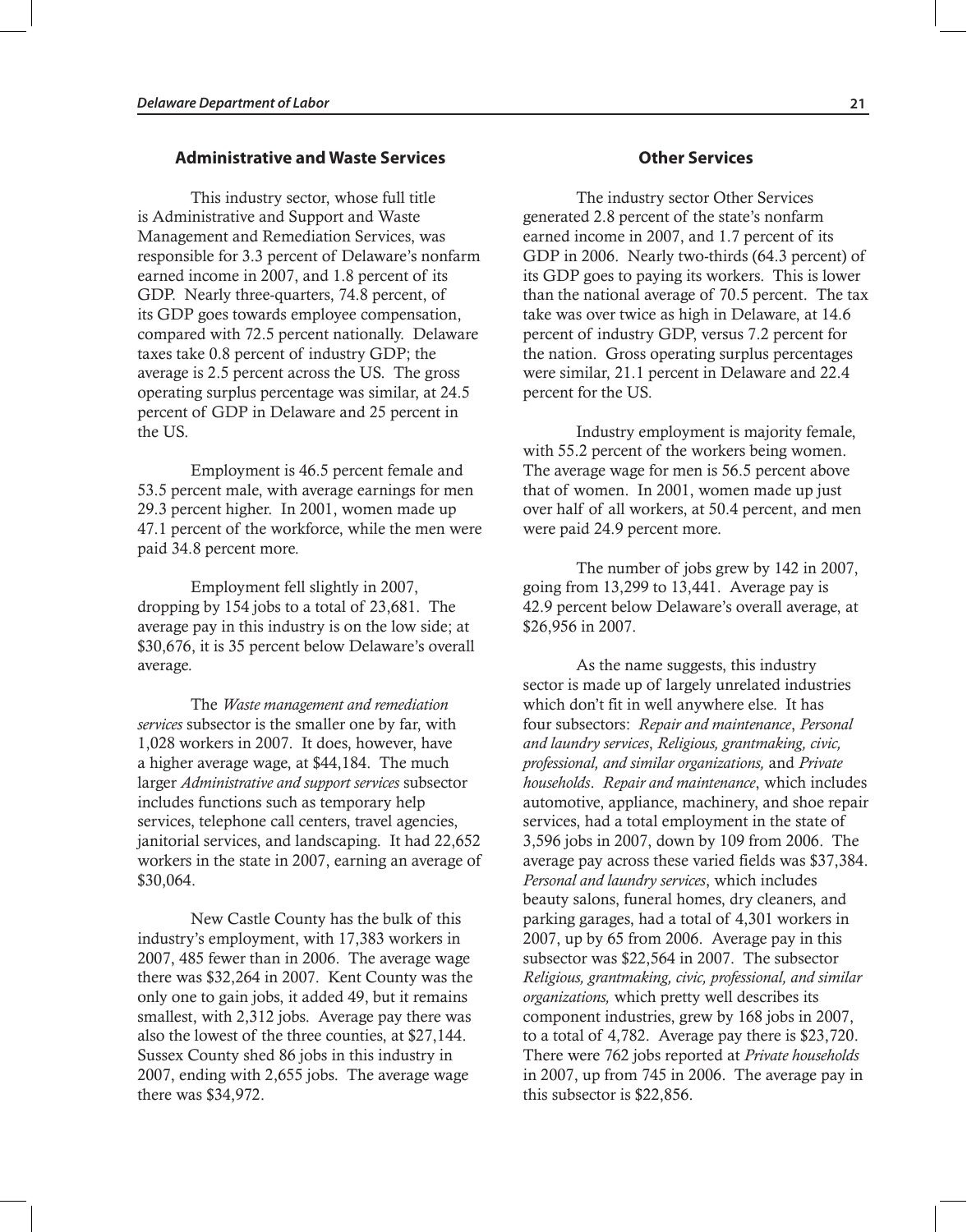#### **Administrative and Waste Services**

This industry sector, whose full title is Administrative and Support and Waste Management and Remediation Services, was responsible for 3.3 percent of Delaware's nonfarm earned income in 2007, and 1.8 percent of its GDP. Nearly three-quarters, 74.8 percent, of its GDP goes towards employee compensation, compared with 72.5 percent nationally. Delaware taxes take 0.8 percent of industry GDP; the average is 2.5 percent across the US. The gross operating surplus percentage was similar, at 24.5 percent of GDP in Delaware and 25 percent in the US.

Employment is 46.5 percent female and 53.5 percent male, with average earnings for men 29.3 percent higher. In 2001, women made up 47.1 percent of the workforce, while the men were paid 34.8 percent more.

Employment fell slightly in 2007, dropping by 154 jobs to a total of 23,681. The average pay in this industry is on the low side; at \$30,676, it is 35 percent below Delaware's overall average.

The *Waste management and remediation services* subsector is the smaller one by far, with 1,028 workers in 2007. It does, however, have a higher average wage, at \$44,184. The much larger *Administrative and support services* subsector includes functions such as temporary help services, telephone call centers, travel agencies, janitorial services, and landscaping. It had 22,652 workers in the state in 2007, earning an average of \$30,064.

New Castle County has the bulk of this industry's employment, with 17,383 workers in 2007, 485 fewer than in 2006. The average wage there was \$32,264 in 2007. Kent County was the only one to gain jobs, it added 49, but it remains smallest, with 2,312 jobs. Average pay there was also the lowest of the three counties, at \$27,144. Sussex County shed 86 jobs in this industry in 2007, ending with 2,655 jobs. The average wage there was \$34,972.

#### **Other Services**

The industry sector Other Services generated 2.8 percent of the state's nonfarm earned income in 2007, and 1.7 percent of its GDP in 2006. Nearly two-thirds (64.3 percent) of its GDP goes to paying its workers. This is lower than the national average of 70.5 percent. The tax take was over twice as high in Delaware, at 14.6 percent of industry GDP, versus 7.2 percent for the nation. Gross operating surplus percentages were similar, 21.1 percent in Delaware and 22.4 percent for the US.

Industry employment is majority female, with 55.2 percent of the workers being women. The average wage for men is 56.5 percent above that of women. In 2001, women made up just over half of all workers, at 50.4 percent, and men were paid 24.9 percent more.

The number of jobs grew by 142 in 2007, going from 13,299 to 13,441. Average pay is 42.9 percent below Delaware's overall average, at \$26,956 in 2007.

As the name suggests, this industry sector is made up of largely unrelated industries which don't fit in well anywhere else. It has four subsectors: *Repair and maintenance*, *Personal and laundry services*, *Religious, grantmaking, civic, professional, and similar organizations,* and *Private households*. *Repair and maintenance*, which includes automotive, appliance, machinery, and shoe repair services, had a total employment in the state of 3,596 jobs in 2007, down by 109 from 2006. The average pay across these varied fields was \$37,384. *Personal and laundry services*, which includes beauty salons, funeral homes, dry cleaners, and parking garages, had a total of 4,301 workers in 2007, up by 65 from 2006. Average pay in this subsector was \$22,564 in 2007. The subsector *Religious, grantmaking, civic, professional, and similar organizations,* which pretty well describes its component industries, grew by 168 jobs in 2007, to a total of 4,782. Average pay there is \$23,720. There were 762 jobs reported at *Private households* in 2007, up from 745 in 2006. The average pay in this subsector is \$22,856.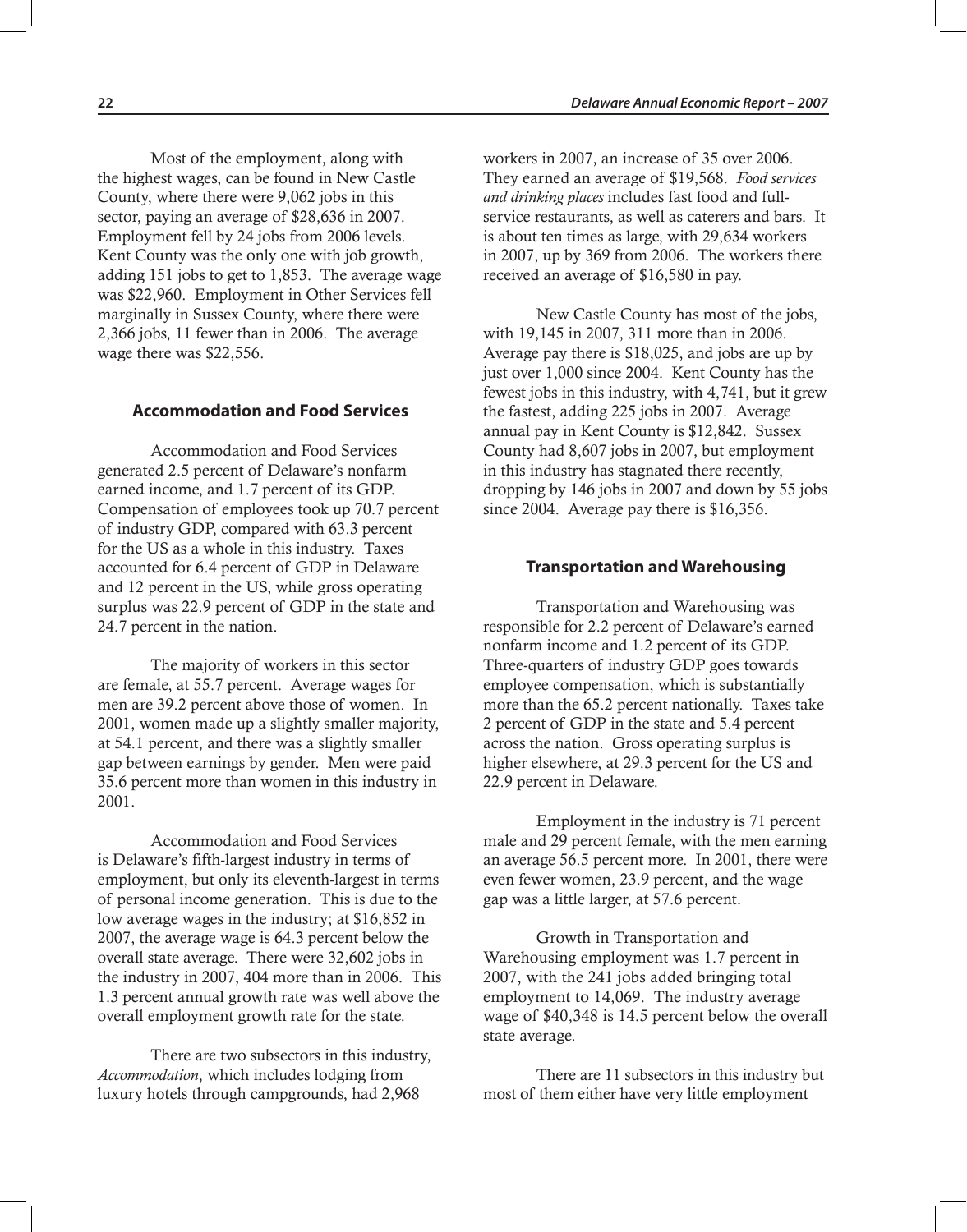Most of the employment, along with the highest wages, can be found in New Castle County, where there were 9,062 jobs in this sector, paying an average of \$28,636 in 2007. Employment fell by 24 jobs from 2006 levels. Kent County was the only one with job growth, adding 151 jobs to get to 1,853. The average wage was \$22,960. Employment in Other Services fell marginally in Sussex County, where there were 2,366 jobs, 11 fewer than in 2006. The average wage there was \$22,556.

#### **Accommodation and Food Services**

Accommodation and Food Services generated 2.5 percent of Delaware's nonfarm earned income, and 1.7 percent of its GDP. Compensation of employees took up 70.7 percent of industry GDP, compared with 63.3 percent for the US as a whole in this industry. Taxes accounted for 6.4 percent of GDP in Delaware and 12 percent in the US, while gross operating surplus was 22.9 percent of GDP in the state and 24.7 percent in the nation.

The majority of workers in this sector are female, at 55.7 percent. Average wages for men are 39.2 percent above those of women. In 2001, women made up a slightly smaller majority, at 54.1 percent, and there was a slightly smaller gap between earnings by gender. Men were paid 35.6 percent more than women in this industry in 2001.

Accommodation and Food Services is Delaware's fifth-largest industry in terms of employment, but only its eleventh-largest in terms of personal income generation. This is due to the low average wages in the industry; at \$16,852 in 2007, the average wage is 64.3 percent below the overall state average. There were 32,602 jobs in the industry in 2007, 404 more than in 2006. This 1.3 percent annual growth rate was well above the overall employment growth rate for the state.

There are two subsectors in this industry, *Accommodation*, which includes lodging from luxury hotels through campgrounds, had 2,968

workers in 2007, an increase of 35 over 2006. They earned an average of \$19,568. *Food services and drinking places* includes fast food and fullservice restaurants, as well as caterers and bars. It is about ten times as large, with 29,634 workers in 2007, up by 369 from 2006. The workers there received an average of \$16,580 in pay.

New Castle County has most of the jobs, with 19,145 in 2007, 311 more than in 2006. Average pay there is \$18,025, and jobs are up by just over 1,000 since 2004. Kent County has the fewest jobs in this industry, with 4,741, but it grew the fastest, adding 225 jobs in 2007. Average annual pay in Kent County is \$12,842. Sussex County had 8,607 jobs in 2007, but employment in this industry has stagnated there recently, dropping by 146 jobs in 2007 and down by 55 jobs since 2004. Average pay there is \$16,356.

#### **Transportation and Warehousing**

Transportation and Warehousing was responsible for 2.2 percent of Delaware's earned nonfarm income and 1.2 percent of its GDP. Three-quarters of industry GDP goes towards employee compensation, which is substantially more than the 65.2 percent nationally. Taxes take 2 percent of GDP in the state and 5.4 percent across the nation. Gross operating surplus is higher elsewhere, at 29.3 percent for the US and 22.9 percent in Delaware.

Employment in the industry is 71 percent male and 29 percent female, with the men earning an average 56.5 percent more. In 2001, there were even fewer women, 23.9 percent, and the wage gap was a little larger, at 57.6 percent.

Growth in Transportation and Warehousing employment was 1.7 percent in 2007, with the 241 jobs added bringing total employment to 14,069. The industry average wage of \$40,348 is 14.5 percent below the overall state average.

There are 11 subsectors in this industry but most of them either have very little employment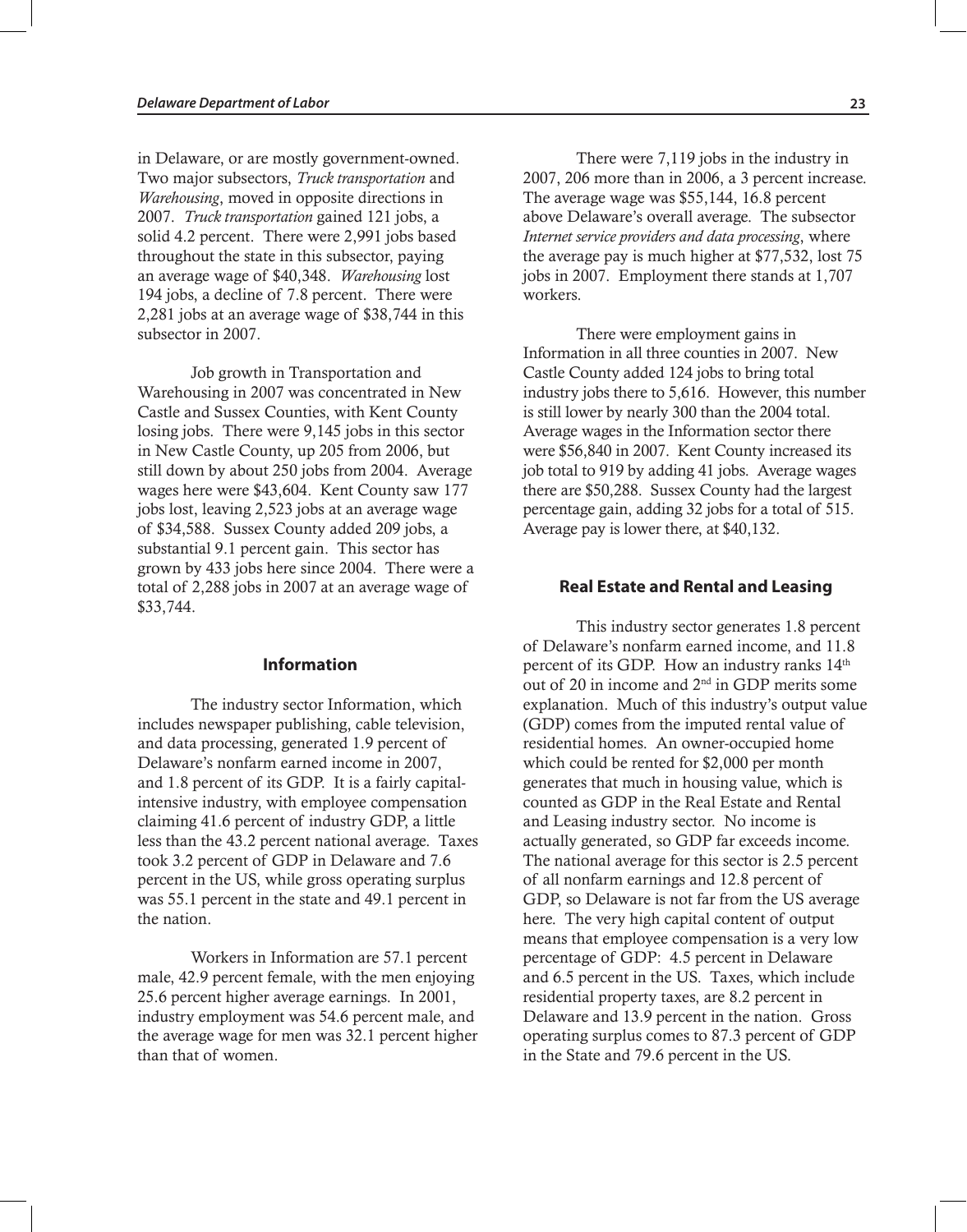in Delaware, or are mostly government-owned. Two major subsectors, *Truck transportation* and *Warehousing*, moved in opposite directions in 2007. *Truck transportation* gained 121 jobs, a solid 4.2 percent. There were 2,991 jobs based throughout the state in this subsector, paying an average wage of \$40,348. *Warehousing* lost 194 jobs, a decline of 7.8 percent. There were 2,281 jobs at an average wage of \$38,744 in this subsector in 2007.

Job growth in Transportation and Warehousing in 2007 was concentrated in New Castle and Sussex Counties, with Kent County losing jobs. There were 9,145 jobs in this sector in New Castle County, up 205 from 2006, but still down by about 250 jobs from 2004. Average wages here were \$43,604. Kent County saw 177 jobs lost, leaving 2,523 jobs at an average wage of \$34,588. Sussex County added 209 jobs, a substantial 9.1 percent gain. This sector has grown by 433 jobs here since 2004. There were a total of 2,288 jobs in 2007 at an average wage of \$33,744.

#### **Information**

The industry sector Information, which includes newspaper publishing, cable television, and data processing, generated 1.9 percent of Delaware's nonfarm earned income in 2007, and 1.8 percent of its GDP. It is a fairly capitalintensive industry, with employee compensation claiming 41.6 percent of industry GDP, a little less than the 43.2 percent national average. Taxes took 3.2 percent of GDP in Delaware and 7.6 percent in the US, while gross operating surplus was 55.1 percent in the state and 49.1 percent in the nation.

Workers in Information are 57.1 percent male, 42.9 percent female, with the men enjoying 25.6 percent higher average earnings. In 2001, industry employment was 54.6 percent male, and the average wage for men was 32.1 percent higher than that of women.

There were 7,119 jobs in the industry in 2007, 206 more than in 2006, a 3 percent increase. The average wage was \$55,144, 16.8 percent above Delaware's overall average. The subsector *Internet service providers and data processing*, where the average pay is much higher at \$77,532, lost 75 jobs in 2007. Employment there stands at 1,707 workers.

There were employment gains in Information in all three counties in 2007. New Castle County added 124 jobs to bring total industry jobs there to 5,616. However, this number is still lower by nearly 300 than the 2004 total. Average wages in the Information sector there were \$56,840 in 2007. Kent County increased its job total to 919 by adding 41 jobs. Average wages there are \$50,288. Sussex County had the largest percentage gain, adding 32 jobs for a total of 515. Average pay is lower there, at \$40,132.

#### **Real Estate and Rental and Leasing**

This industry sector generates 1.8 percent of Delaware's nonfarm earned income, and 11.8 percent of its GDP. How an industry ranks  $14<sup>th</sup>$ out of 20 in income and 2nd in GDP merits some explanation. Much of this industry's output value (GDP) comes from the imputed rental value of residential homes. An owner-occupied home which could be rented for \$2,000 per month generates that much in housing value, which is counted as GDP in the Real Estate and Rental and Leasing industry sector. No income is actually generated, so GDP far exceeds income. The national average for this sector is 2.5 percent of all nonfarm earnings and 12.8 percent of GDP, so Delaware is not far from the US average here. The very high capital content of output means that employee compensation is a very low percentage of GDP: 4.5 percent in Delaware and 6.5 percent in the US. Taxes, which include residential property taxes, are 8.2 percent in Delaware and 13.9 percent in the nation. Gross operating surplus comes to 87.3 percent of GDP in the State and 79.6 percent in the US.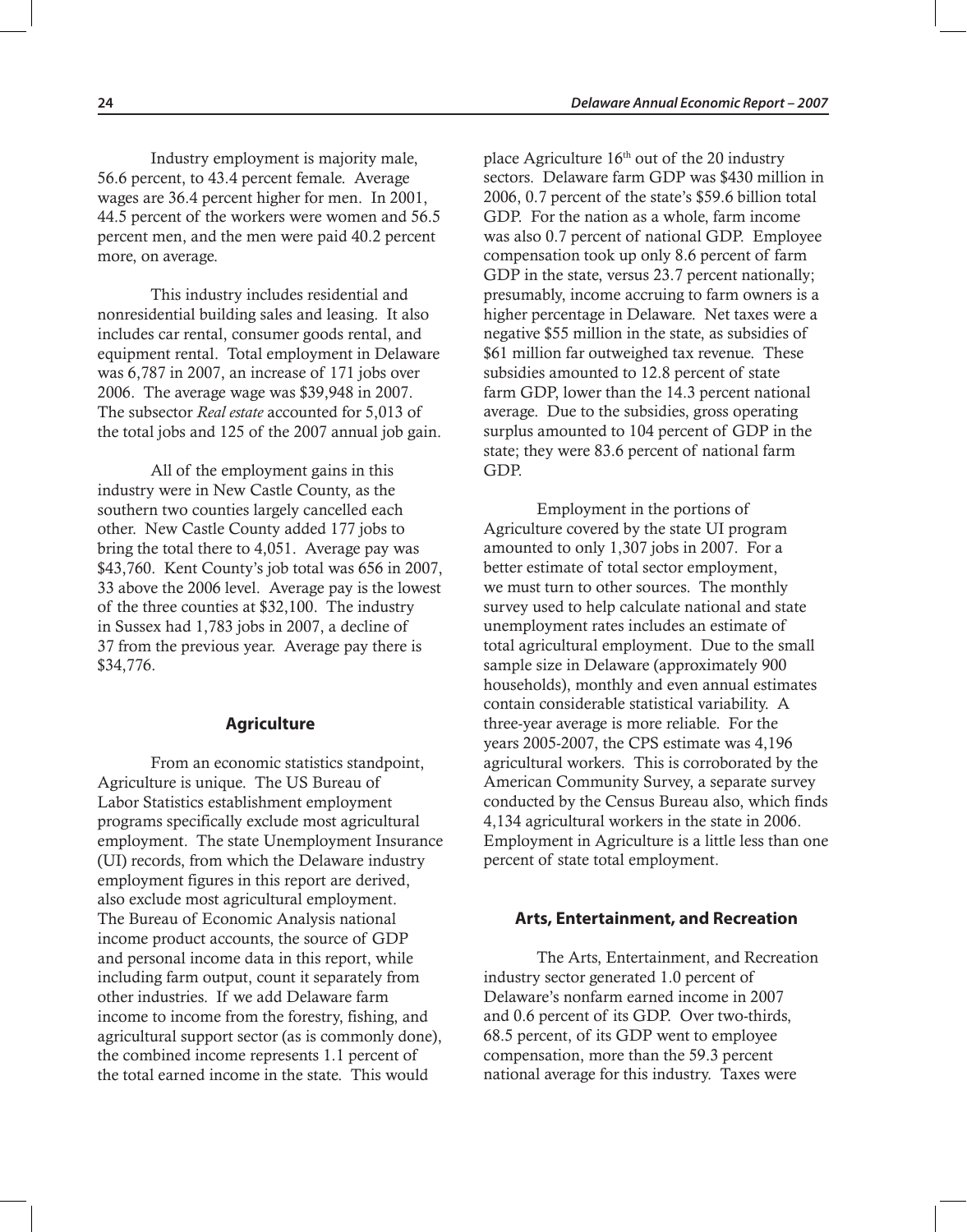Industry employment is majority male, 56.6 percent, to 43.4 percent female. Average wages are 36.4 percent higher for men. In 2001, 44.5 percent of the workers were women and 56.5 percent men, and the men were paid 40.2 percent more, on average.

This industry includes residential and nonresidential building sales and leasing. It also includes car rental, consumer goods rental, and equipment rental. Total employment in Delaware was 6,787 in 2007, an increase of 171 jobs over 2006. The average wage was \$39,948 in 2007. The subsector *Real estate* accounted for 5,013 of the total jobs and 125 of the 2007 annual job gain.

All of the employment gains in this industry were in New Castle County, as the southern two counties largely cancelled each other. New Castle County added 177 jobs to bring the total there to 4,051. Average pay was \$43,760. Kent County's job total was 656 in 2007, 33 above the 2006 level. Average pay is the lowest of the three counties at \$32,100. The industry in Sussex had 1,783 jobs in 2007, a decline of 37 from the previous year. Average pay there is \$34,776.

#### **Agriculture**

From an economic statistics standpoint, Agriculture is unique. The US Bureau of Labor Statistics establishment employment programs specifically exclude most agricultural employment. The state Unemployment Insurance (UI) records, from which the Delaware industry employment figures in this report are derived, also exclude most agricultural employment. The Bureau of Economic Analysis national income product accounts, the source of GDP and personal income data in this report, while including farm output, count it separately from other industries. If we add Delaware farm income to income from the forestry, fishing, and agricultural support sector (as is commonly done), the combined income represents 1.1 percent of the total earned income in the state. This would

place Agriculture 16th out of the 20 industry sectors. Delaware farm GDP was \$430 million in 2006, 0.7 percent of the state's \$59.6 billion total GDP. For the nation as a whole, farm income was also 0.7 percent of national GDP. Employee compensation took up only 8.6 percent of farm GDP in the state, versus 23.7 percent nationally; presumably, income accruing to farm owners is a higher percentage in Delaware. Net taxes were a negative \$55 million in the state, as subsidies of \$61 million far outweighed tax revenue. These subsidies amounted to 12.8 percent of state farm GDP, lower than the 14.3 percent national average. Due to the subsidies, gross operating surplus amounted to 104 percent of GDP in the state; they were 83.6 percent of national farm GDP.

Employment in the portions of Agriculture covered by the state UI program amounted to only 1,307 jobs in 2007. For a better estimate of total sector employment, we must turn to other sources. The monthly survey used to help calculate national and state unemployment rates includes an estimate of total agricultural employment. Due to the small sample size in Delaware (approximately 900 households), monthly and even annual estimates contain considerable statistical variability. A three-year average is more reliable. For the years 2005-2007, the CPS estimate was 4,196 agricultural workers. This is corroborated by the American Community Survey, a separate survey conducted by the Census Bureau also, which finds 4,134 agricultural workers in the state in 2006. Employment in Agriculture is a little less than one percent of state total employment.

#### **Arts, Entertainment, and Recreation**

The Arts, Entertainment, and Recreation industry sector generated 1.0 percent of Delaware's nonfarm earned income in 2007 and 0.6 percent of its GDP. Over two-thirds, 68.5 percent, of its GDP went to employee compensation, more than the 59.3 percent national average for this industry. Taxes were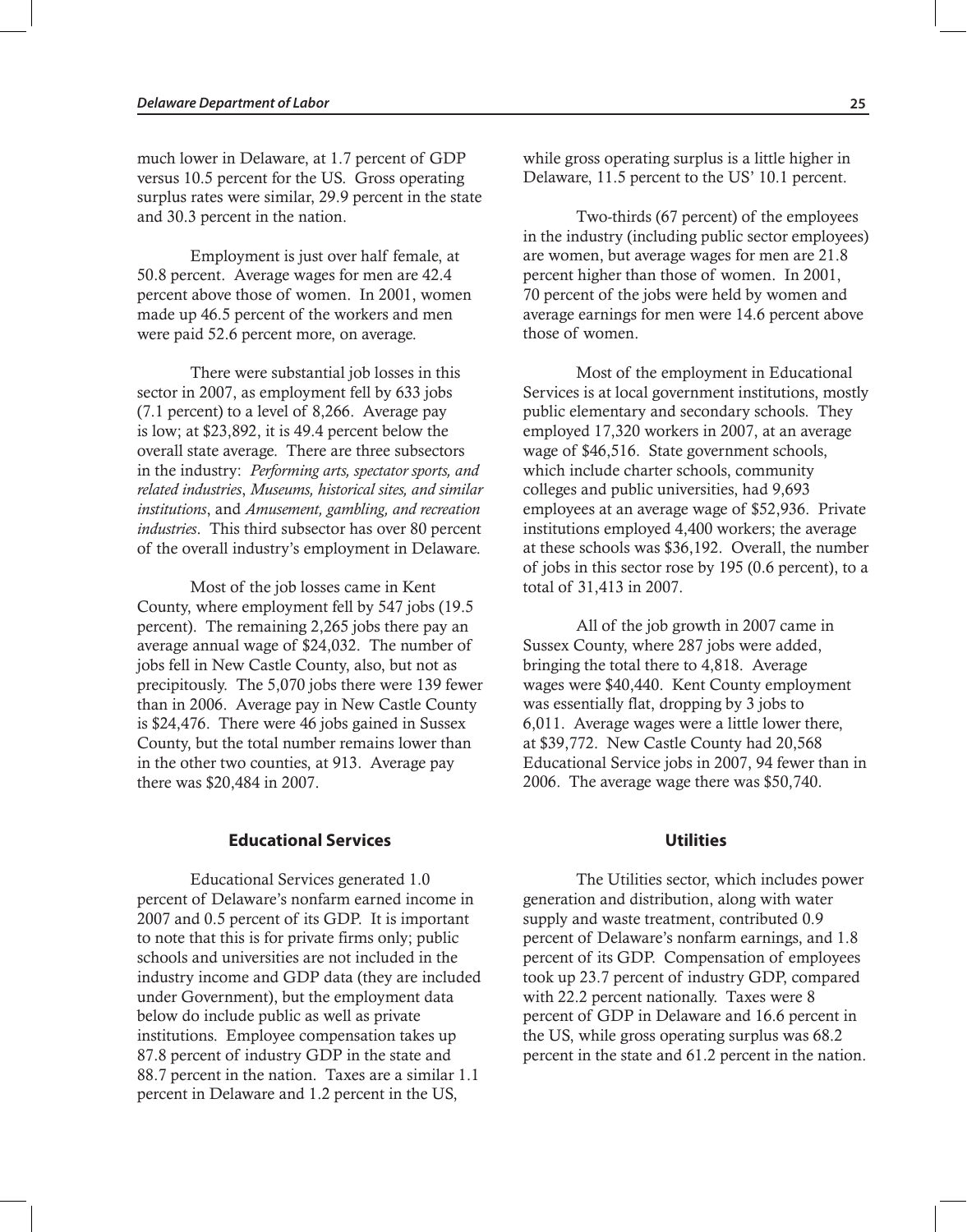much lower in Delaware, at 1.7 percent of GDP versus 10.5 percent for the US. Gross operating surplus rates were similar, 29.9 percent in the state and 30.3 percent in the nation.

Employment is just over half female, at 50.8 percent. Average wages for men are 42.4 percent above those of women. In 2001, women made up 46.5 percent of the workers and men were paid 52.6 percent more, on average.

There were substantial job losses in this sector in 2007, as employment fell by 633 jobs (7.1 percent) to a level of 8,266. Average pay is low; at \$23,892, it is 49.4 percent below the overall state average. There are three subsectors in the industry: *Performing arts, spectator sports, and related industries*, *Museums, historical sites, and similar institutions*, and *Amusement, gambling, and recreation industries*. This third subsector has over 80 percent of the overall industry's employment in Delaware.

Most of the job losses came in Kent County, where employment fell by 547 jobs (19.5 percent). The remaining 2,265 jobs there pay an average annual wage of \$24,032. The number of jobs fell in New Castle County, also, but not as precipitously. The 5,070 jobs there were 139 fewer than in 2006. Average pay in New Castle County is \$24,476. There were 46 jobs gained in Sussex County, but the total number remains lower than in the other two counties, at 913. Average pay there was \$20,484 in 2007.

#### **Educational Services**

Educational Services generated 1.0 percent of Delaware's nonfarm earned income in 2007 and 0.5 percent of its GDP. It is important to note that this is for private firms only; public schools and universities are not included in the industry income and GDP data (they are included under Government), but the employment data below do include public as well as private institutions. Employee compensation takes up 87.8 percent of industry GDP in the state and 88.7 percent in the nation. Taxes are a similar 1.1 percent in Delaware and 1.2 percent in the US,

while gross operating surplus is a little higher in Delaware, 11.5 percent to the US' 10.1 percent.

Two-thirds (67 percent) of the employees in the industry (including public sector employees) are women, but average wages for men are 21.8 percent higher than those of women. In 2001, 70 percent of the jobs were held by women and average earnings for men were 14.6 percent above those of women.

Most of the employment in Educational Services is at local government institutions, mostly public elementary and secondary schools. They employed 17,320 workers in 2007, at an average wage of \$46,516. State government schools, which include charter schools, community colleges and public universities, had 9,693 employees at an average wage of \$52,936. Private institutions employed 4,400 workers; the average at these schools was \$36,192. Overall, the number of jobs in this sector rose by 195 (0.6 percent), to a total of 31,413 in 2007.

All of the job growth in 2007 came in Sussex County, where 287 jobs were added, bringing the total there to 4,818. Average wages were \$40,440. Kent County employment was essentially flat, dropping by 3 jobs to 6,011. Average wages were a little lower there, at \$39,772. New Castle County had 20,568 Educational Service jobs in 2007, 94 fewer than in 2006. The average wage there was \$50,740.

#### **Utilities**

The Utilities sector, which includes power generation and distribution, along with water supply and waste treatment, contributed 0.9 percent of Delaware's nonfarm earnings, and 1.8 percent of its GDP. Compensation of employees took up 23.7 percent of industry GDP, compared with 22.2 percent nationally. Taxes were 8 percent of GDP in Delaware and 16.6 percent in the US, while gross operating surplus was 68.2 percent in the state and 61.2 percent in the nation.